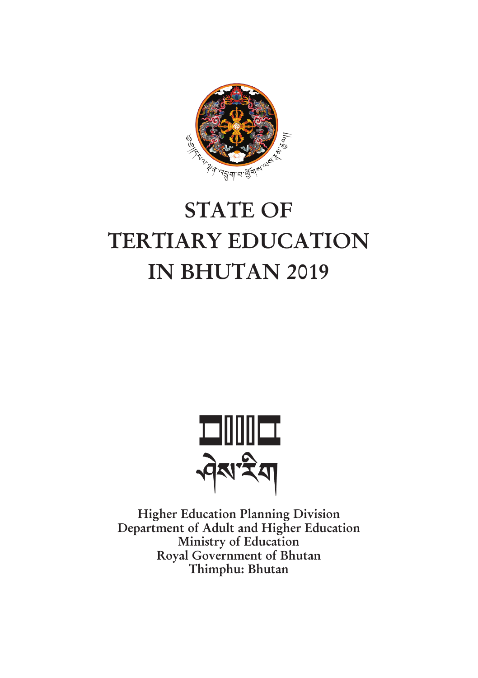

# **STATE OF TERTIARY EDUCATION IN BHUTAN 2019**



**Higher Education Planning Division Department of Adult and Higher Education Ministry of Education Royal Government of Bhutan Thimphu: Bhutan**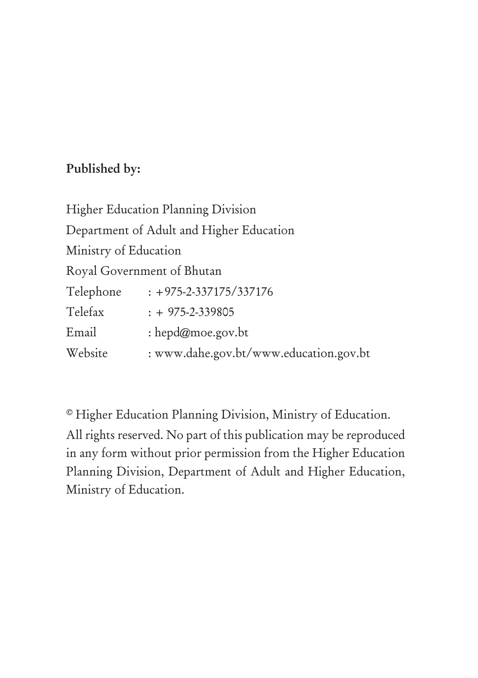#### **Published by:**

| <b>Higher Education Planning Division</b> |                                          |  |  |  |  |  |
|-------------------------------------------|------------------------------------------|--|--|--|--|--|
|                                           | Department of Adult and Higher Education |  |  |  |  |  |
| Ministry of Education                     |                                          |  |  |  |  |  |
|                                           | Royal Government of Bhutan               |  |  |  |  |  |
| Telephone                                 | $: +975 - 2 - 337175 / 337176$           |  |  |  |  |  |
| Telefax                                   | $: +975-2-339805$                        |  |  |  |  |  |
| Email                                     | : hepd@moe.gov.bt                        |  |  |  |  |  |
| Website                                   | : www.dahe.gov.bt/www.education.gov.bt   |  |  |  |  |  |

© Higher Education Planning Division, Ministry of Education. All rights reserved. No part of this publication may be reproduced in any form without prior permission from the Higher Education Planning Division, Department of Adult and Higher Education, Ministry of Education.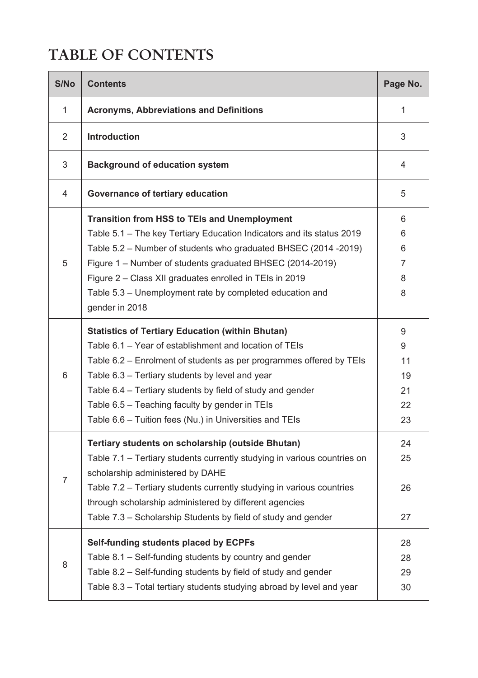## **TABLE OF CONTENTS**

| S/No           | <b>Contents</b>                                                                                                                                                                                                                                                                                                                                                                                                        | Page No.                             |
|----------------|------------------------------------------------------------------------------------------------------------------------------------------------------------------------------------------------------------------------------------------------------------------------------------------------------------------------------------------------------------------------------------------------------------------------|--------------------------------------|
| 1              | <b>Acronyms, Abbreviations and Definitions</b>                                                                                                                                                                                                                                                                                                                                                                         | 1                                    |
| 2              | <b>Introduction</b>                                                                                                                                                                                                                                                                                                                                                                                                    | 3                                    |
| 3              | <b>Background of education system</b>                                                                                                                                                                                                                                                                                                                                                                                  | 4                                    |
| 4              | Governance of tertiary education                                                                                                                                                                                                                                                                                                                                                                                       | 5                                    |
|                | <b>Transition from HSS to TEIs and Unemployment</b><br>Table 5.1 - The key Tertiary Education Indicators and its status 2019<br>Table 5.2 - Number of students who graduated BHSEC (2014 -2019)                                                                                                                                                                                                                        | 6<br>6<br>6                          |
| 5              | Figure 1 – Number of students graduated BHSEC (2014-2019)<br>Figure 2 - Class XII graduates enrolled in TEIs in 2019<br>Table 5.3 – Unemployment rate by completed education and<br>gender in 2018                                                                                                                                                                                                                     | 7<br>8<br>8                          |
| 6              | <b>Statistics of Tertiary Education (within Bhutan)</b><br>Table 6.1 - Year of establishment and location of TEIs<br>Table 6.2 – Enrolment of students as per programmes offered by TEIs<br>Table 6.3 - Tertiary students by level and year<br>Table 6.4 - Tertiary students by field of study and gender<br>Table 6.5 - Teaching faculty by gender in TEIs<br>Table 6.6 - Tuition fees (Nu.) in Universities and TEIs | 9<br>9<br>11<br>19<br>21<br>22<br>23 |
| $\overline{7}$ | Tertiary students on scholarship (outside Bhutan)<br>Table 7.1 - Tertiary students currently studying in various countries on<br>scholarship administered by DAHE<br>Table 7.2 - Tertiary students currently studying in various countries<br>through scholarship administered by different agencies<br>Table 7.3 – Scholarship Students by field of study and gender                                                  | 24<br>25<br>26<br>27                 |
| 8              | Self-funding students placed by ECPFs<br>Table 8.1 - Self-funding students by country and gender<br>Table 8.2 - Self-funding students by field of study and gender<br>Table 8.3 - Total tertiary students studying abroad by level and year                                                                                                                                                                            | 28<br>28<br>29<br>30                 |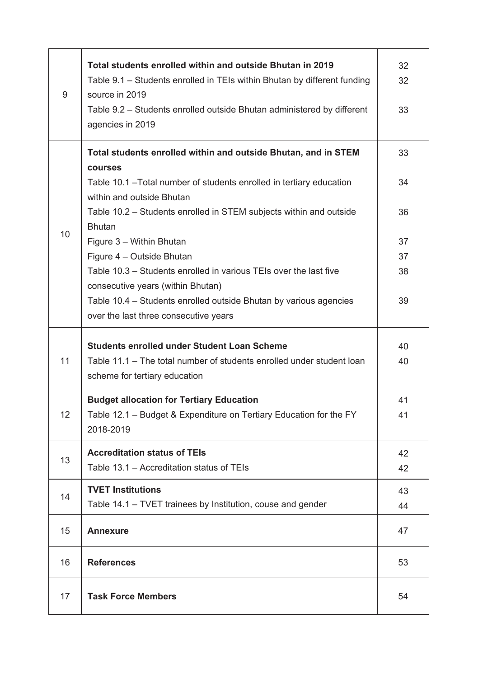| 9  | Total students enrolled within and outside Bhutan in 2019<br>Table 9.1 – Students enrolled in TEIs within Bhutan by different funding<br>source in 2019<br>Table 9.2 – Students enrolled outside Bhutan administered by different<br>agencies in 2019 | 32<br>32<br>33 |
|----|-------------------------------------------------------------------------------------------------------------------------------------------------------------------------------------------------------------------------------------------------------|----------------|
|    | Total students enrolled within and outside Bhutan, and in STEM<br>courses<br>Table 10.1 - Total number of students enrolled in tertiary education                                                                                                     | 33<br>34       |
| 10 | within and outside Bhutan<br>Table 10.2 – Students enrolled in STEM subjects within and outside<br><b>Bhutan</b>                                                                                                                                      | 36             |
|    | Figure 3 - Within Bhutan                                                                                                                                                                                                                              | 37             |
|    | Figure 4 - Outside Bhutan                                                                                                                                                                                                                             | 37             |
|    | Table 10.3 - Students enrolled in various TEIs over the last five<br>consecutive years (within Bhutan)                                                                                                                                                | 38             |
|    | Table 10.4 – Students enrolled outside Bhutan by various agencies                                                                                                                                                                                     | 39             |
|    | over the last three consecutive years                                                                                                                                                                                                                 |                |
|    | <b>Students enrolled under Student Loan Scheme</b>                                                                                                                                                                                                    | 40             |
| 11 | Table 11.1 – The total number of students enrolled under student loan<br>scheme for tertiary education                                                                                                                                                | 40             |
|    | <b>Budget allocation for Tertiary Education</b>                                                                                                                                                                                                       | 41             |
| 12 | Table 12.1 – Budget & Expenditure on Tertiary Education for the FY<br>2018-2019                                                                                                                                                                       | 41             |
|    | <b>Accreditation status of TEIs</b>                                                                                                                                                                                                                   | 42             |
| 13 | Table 13.1 – Accreditation status of TEIs                                                                                                                                                                                                             | 42             |
|    | <b>TVET Institutions</b>                                                                                                                                                                                                                              | 43             |
| 14 | Table 14.1 – TVET trainees by Institution, couse and gender                                                                                                                                                                                           | 44             |
| 15 | <b>Annexure</b>                                                                                                                                                                                                                                       | 47             |
| 16 | <b>References</b>                                                                                                                                                                                                                                     | 53             |
| 17 | <b>Task Force Members</b>                                                                                                                                                                                                                             | 54             |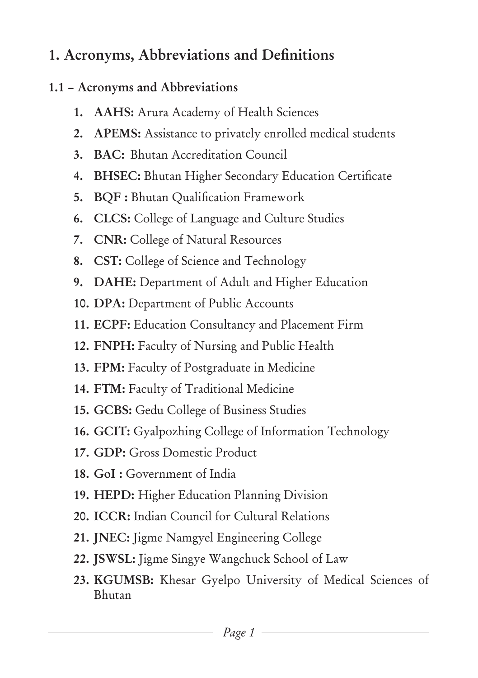# **1. Acronyms, Abbreviations and Definitions**

#### **1.1 – Acronyms and Abbreviations**

- **1. AAHS:** Arura Academy of Health Sciences
- **2. APEMS:** Assistance to privately enrolled medical students
- **3. BAC:** Bhutan Accreditation Council
- **4. BHSEC:** Bhutan Higher Secondary Education Certificate
- **5. BQF :** Bhutan Qualification Framework
- **6. CLCS:** College of Language and Culture Studies
- **7. CNR:** College of Natural Resources
- **8. CST:** College of Science and Technology
- **9. DAHE:** Department of Adult and Higher Education
- **10. DPA:** Department of Public Accounts
- **11. ECPF:** Education Consultancy and Placement Firm
- **12. FNPH:** Faculty of Nursing and Public Health
- **13. FPM:** Faculty of Postgraduate in Medicine
- **14. FTM:** Faculty of Traditional Medicine
- **15. GCBS:** Gedu College of Business Studies
- **16. GCIT:** Gyalpozhing College of Information Technology
- **17. GDP:** Gross Domestic Product
- **18. GoI :** Government of India
- **19. HEPD:** Higher Education Planning Division
- **20. ICCR:** Indian Council for Cultural Relations
- **21. JNEC:** Jigme Namgyel Engineering College
- **22. JSWSL:** Jigme Singye Wangchuck School of Law
- **23. KGUMSB:** Khesar Gyelpo University of Medical Sciences of Bhutan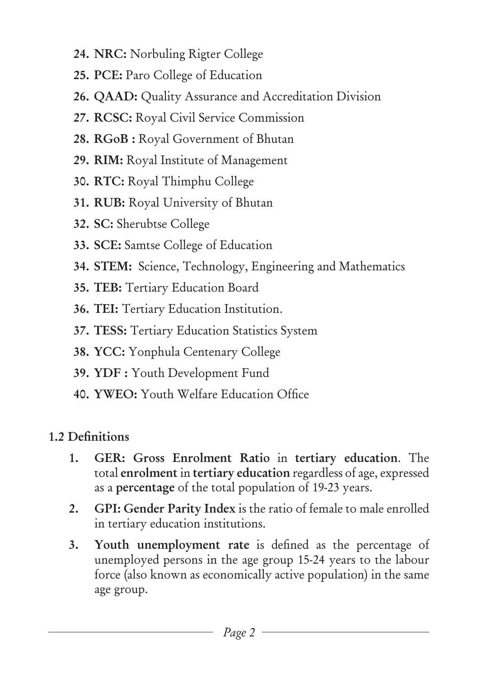- **24. NRC:** Norbuling Rigter College
- **25. PCE:** Paro College of Education
- **26. QAAD:** Quality Assurance and Accreditation Division
- **27. RCSC:** Royal Civil Service Commission
- **28. RGoB :** Royal Government of Bhutan
- **29. RIM:** Royal Institute of Management
- **30. RTC:** Royal Thimphu College
- **31. RUB:** Royal University of Bhutan
- **32. SC:** Sherubtse College
- **33. SCE:** Samtse College of Education
- **34. STEM:** Science, Technology, Engineering and Mathematics
- **35. TEB:** Tertiary Education Board
- **36. TEI:** Tertiary Education Institution.
- **37. TESS:** Tertiary Education Statistics System
- **38. YCC:** Yonphula Centenary College
- **39. YDF :** Youth Development Fund
- **40. YWEO:** Youth Welfare Education Office

### **1.2 Definitions**

- **1. GER: Gross Enrolment Ratio** in **tertiary education**. The total **enrolment** in **tertiary education** regardless of age, expressed as a **percentage** of the total population of 19-23 years.
- **2. GPI: Gender Parity Index** is the ratio of female to male enrolled in tertiary education institutions.
- **3. Youth unemployment rate** is defined as the percentage of unemployed persons in the age group 15-24 years to the labour force (also known as economically active population) in the same age group.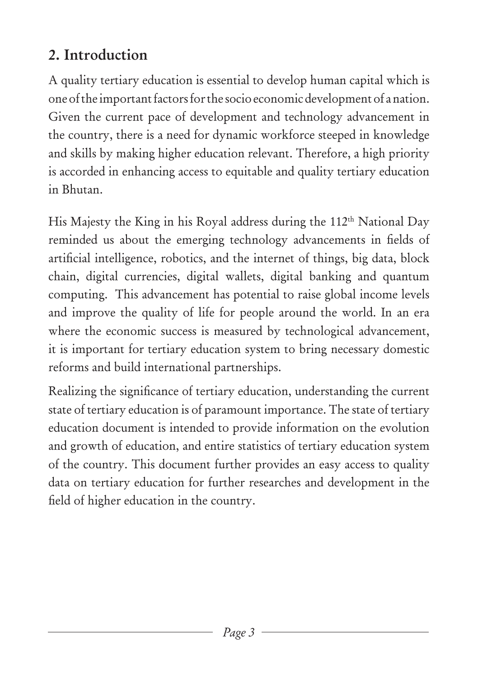# **2. Introduction**

A quality tertiary education is essential to develop human capital which is one of the important factors for the socio economic development of a nation. Given the current pace of development and technology advancement in the country, there is a need for dynamic workforce steeped in knowledge and skills by making higher education relevant. Therefore, a high priority is accorded in enhancing access to equitable and quality tertiary education in Bhutan.

His Majesty the King in his Royal address during the 112<sup>th</sup> National Day reminded us about the emerging technology advancements in fields of artificial intelligence, robotics, and the internet of things, big data, block chain, digital currencies, digital wallets, digital banking and quantum computing. This advancement has potential to raise global income levels and improve the quality of life for people around the world. In an era where the economic success is measured by technological advancement, it is important for tertiary education system to bring necessary domestic reforms and build international partnerships.

Realizing the significance of tertiary education, understanding the current state of tertiary education is of paramount importance. The state of tertiary education document is intended to provide information on the evolution and growth of education, and entire statistics of tertiary education system of the country. This document further provides an easy access to quality data on tertiary education for further researches and development in the field of higher education in the country.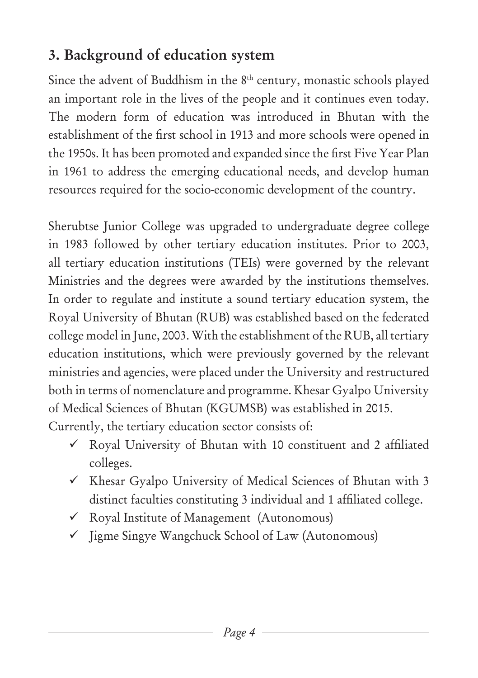# **3. Background of education system**

Since the advent of Buddhism in the 8<sup>th</sup> century, monastic schools played an important role in the lives of the people and it continues even today. The modern form of education was introduced in Bhutan with the establishment of the first school in 1913 and more schools were opened in the 1950s. It has been promoted and expanded since the first Five Year Plan in 1961 to address the emerging educational needs, and develop human resources required for the socio-economic development of the country.

Sherubtse Junior College was upgraded to undergraduate degree college in 1983 followed by other tertiary education institutes. Prior to 2003, all tertiary education institutions (TEIs) were governed by the relevant Ministries and the degrees were awarded by the institutions themselves. In order to regulate and institute a sound tertiary education system, the Royal University of Bhutan (RUB) was established based on the federated college model in June, 2003. With the establishment of the RUB, all tertiary education institutions, which were previously governed by the relevant ministries and agencies, were placed under the University and restructured both in terms of nomenclature and programme. Khesar Gyalpo University of Medical Sciences of Bhutan (KGUMSB) was established in 2015. Currently, the tertiary education sector consists of:

- $\checkmark$  Royal University of Bhutan with 10 constituent and 2 affiliated colleges.
- $\checkmark$  Khesar Gyalpo University of Medical Sciences of Bhutan with 3 distinct faculties constituting 3 individual and 1 affiliated college.
- Royal Institute of Management (Autonomous)
- $\checkmark$  Jigme Singye Wangchuck School of Law (Autonomous)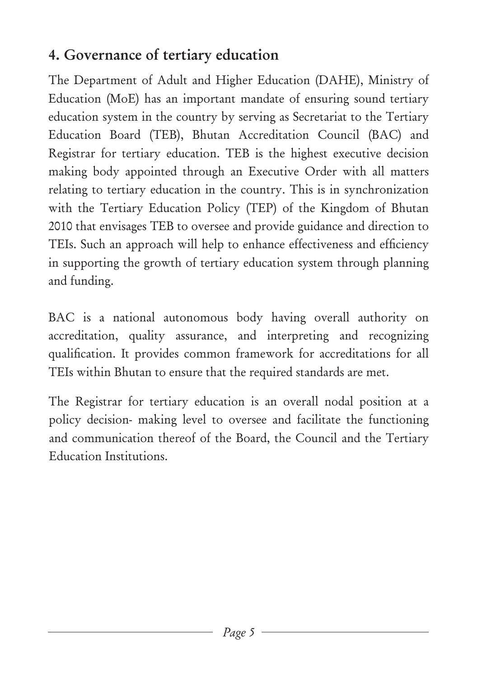# **4. Governance of tertiary education**

The Department of Adult and Higher Education (DAHE), Ministry of Education (MoE) has an important mandate of ensuring sound tertiary education system in the country by serving as Secretariat to the Tertiary Education Board (TEB), Bhutan Accreditation Council (BAC) and Registrar for tertiary education. TEB is the highest executive decision making body appointed through an Executive Order with all matters relating to tertiary education in the country. This is in synchronization with the Tertiary Education Policy (TEP) of the Kingdom of Bhutan 2010 that envisages TEB to oversee and provide guidance and direction to TEIs. Such an approach will help to enhance effectiveness and efficiency in supporting the growth of tertiary education system through planning and funding.

BAC is a national autonomous body having overall authority on accreditation, quality assurance, and interpreting and recognizing qualification. It provides common framework for accreditations for all TEIs within Bhutan to ensure that the required standards are met.

The Registrar for tertiary education is an overall nodal position at a policy decision- making level to oversee and facilitate the functioning and communication thereof of the Board, the Council and the Tertiary Education Institutions.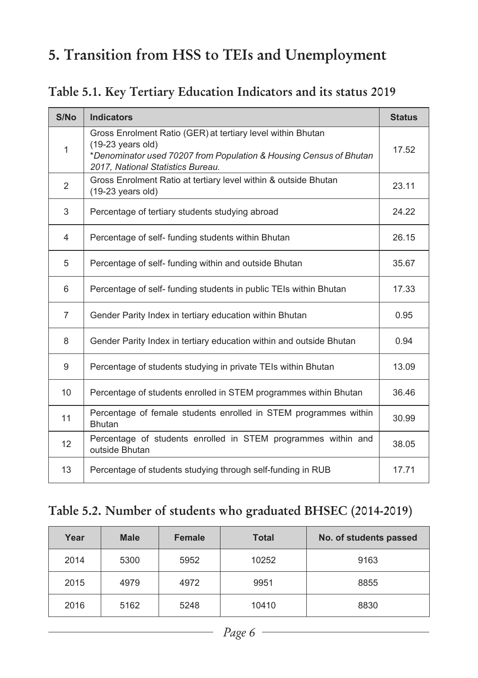# **5. Transition from HSS to TEIs and Unemployment**

**Table 5.1. Key Tertiary Education Indicators and its status 2019**

| S/No           | <b>Indicators</b>                                                                                                                                                                                     | <b>Status</b> |
|----------------|-------------------------------------------------------------------------------------------------------------------------------------------------------------------------------------------------------|---------------|
| 1              | Gross Enrolment Ratio (GER) at tertiary level within Bhutan<br>$(19-23 \text{ years old})$<br>*Denominator used 70207 from Population & Housing Census of Bhutan<br>2017, National Statistics Bureau. | 17.52         |
| $\overline{2}$ | Gross Enrolment Ratio at tertiary level within & outside Bhutan<br>$(19-23 \text{ years old})$                                                                                                        | 23.11         |
| 3              | Percentage of tertiary students studying abroad                                                                                                                                                       | 24.22         |
| 4              | Percentage of self- funding students within Bhutan                                                                                                                                                    | 26.15         |
| 5              | Percentage of self- funding within and outside Bhutan                                                                                                                                                 | 35.67         |
| 6              | Percentage of self- funding students in public TEIs within Bhutan                                                                                                                                     | 17.33         |
| $\overline{7}$ | Gender Parity Index in tertiary education within Bhutan                                                                                                                                               | 0.95          |
| 8              | Gender Parity Index in tertiary education within and outside Bhutan                                                                                                                                   | 0.94          |
| 9              | Percentage of students studying in private TEIs within Bhutan                                                                                                                                         | 13.09         |
| 10             | Percentage of students enrolled in STEM programmes within Bhutan                                                                                                                                      | 36.46         |
| 11             | Percentage of female students enrolled in STEM programmes within<br><b>Bhutan</b>                                                                                                                     | 30.99         |
| 12             | Percentage of students enrolled in STEM programmes within and<br>outside Bhutan                                                                                                                       | 38.05         |
| 13             | Percentage of students studying through self-funding in RUB                                                                                                                                           | 17.71         |

#### **Table 5.2. Number of students who graduated BHSEC (2014-2019)**

| Year | <b>Male</b> | <b>Female</b> | <b>Total</b> | No. of students passed |
|------|-------------|---------------|--------------|------------------------|
| 2014 | 5300        | 5952          | 10252        | 9163                   |
| 2015 | 4979        | 4972          | 9951         | 8855                   |
| 2016 | 5162        | 5248          | 10410        | 8830                   |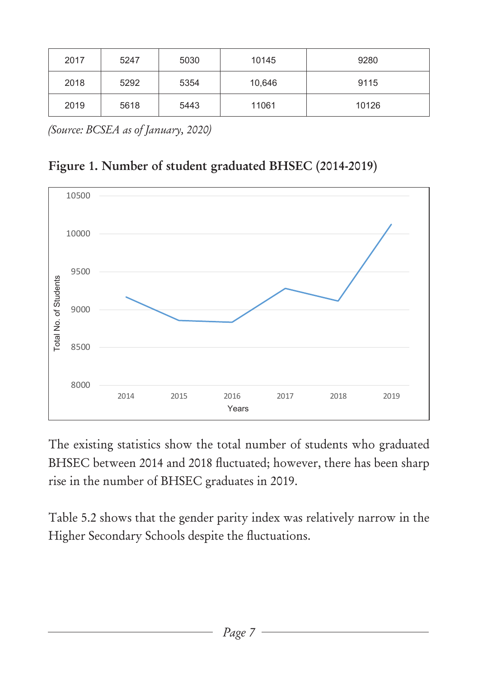| 2017 | 5247 | 5030 | 10145  | 9280  |
|------|------|------|--------|-------|
| 2018 | 5292 | 5354 | 10,646 | 9115  |
| 2019 | 5618 | 5443 | 11061  | 10126 |

*(Source: BCSEA as of January, 2020)*





The existing statistics show the total number of students who graduated BHSEC between 2014 and 2018 fluctuated; however, there has been sharp rise in the number of BHSEC graduates in 2019.

Table 5.2 shows that the gender parity index was relatively narrow in the Higher Secondary Schools despite the fluctuations.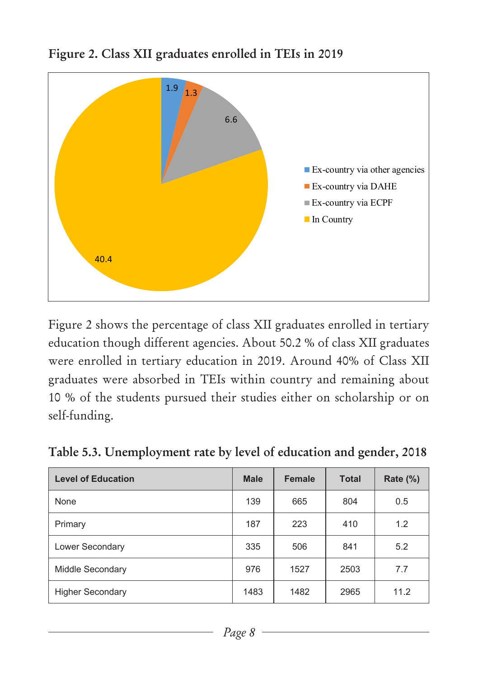

**Figure 2. Class XII graduates enrolled in TEIs in 2019**

Figure 2 shows the percentage of class XII graduates enrolled in tertiary education though different agencies. About 50.2 % of class XII graduates were enrolled in tertiary education in 2019. Around 40% of Class XII graduates were absorbed in TEIs within country and remaining about 10 % of the students pursued their studies either on scholarship or on self-funding.

|  |  |  |  | Table 5.3. Unemployment rate by level of education and gender, 2018 |
|--|--|--|--|---------------------------------------------------------------------|
|--|--|--|--|---------------------------------------------------------------------|

| <b>Level of Education</b> | <b>Male</b> | Female | <b>Total</b> | <b>Rate (%)</b> |
|---------------------------|-------------|--------|--------------|-----------------|
| None                      | 139         | 665    | 804          | 0.5             |
| Primary                   | 187         | 223    | 410          | 1.2             |
| Lower Secondary           | 335         | 506    | 841          | 5.2             |
| Middle Secondary          | 976         | 1527   | 2503         | 7.7             |
| <b>Higher Secondary</b>   | 1483        | 1482   | 2965         | 11.2            |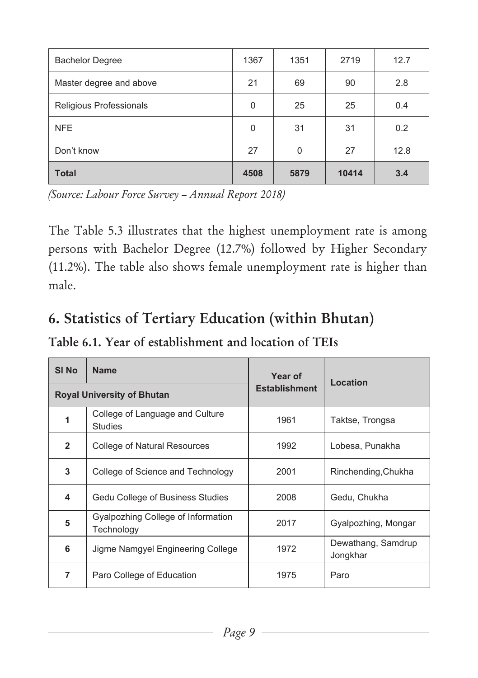| <b>Bachelor Degree</b>  | 1367           | 1351 | 2719  | 12.7 |
|-------------------------|----------------|------|-------|------|
| Master degree and above | 21             | 69   | 90    | 2.8  |
| Religious Professionals | $\overline{0}$ | 25   | 25    | 0.4  |
| <b>NFE</b>              | 0              | 31   | 31    | 0.2  |
| Don't know              | 27             | 0    | 27    | 12.8 |
| <b>Total</b>            | 4508           | 5879 | 10414 | 3.4  |

*(Source: Labour Force Survey – Annual Report 2018)*

The Table 5.3 illustrates that the highest unemployment rate is among persons with Bachelor Degree (12.7%) followed by Higher Secondary (11.2%). The table also shows female unemployment rate is higher than male.

# **6. Statistics of Tertiary Education (within Bhutan)**

**Table 6.1. Year of establishment and location of TEIs**

| SI No                             | <b>Name</b>                                       | Year of              | Location                       |  |
|-----------------------------------|---------------------------------------------------|----------------------|--------------------------------|--|
| <b>Royal University of Bhutan</b> |                                                   | <b>Establishment</b> |                                |  |
| 1                                 | College of Language and Culture<br><b>Studies</b> | 1961                 | Taktse, Trongsa                |  |
| $\overline{2}$                    | College of Natural Resources                      | 1992                 | Lobesa, Punakha                |  |
| 3                                 | College of Science and Technology                 | 2001                 | Rinchending, Chukha            |  |
| 4                                 | Gedu College of Business Studies                  | 2008                 | Gedu, Chukha                   |  |
| 5                                 | Gyalpozhing College of Information<br>Technology  | 2017                 | Gyalpozhing, Mongar            |  |
| 6                                 | Jigme Namgyel Engineering College                 | 1972                 | Dewathang, Samdrup<br>Jongkhar |  |
| $\overline{7}$                    | Paro College of Education                         | 1975                 | Paro                           |  |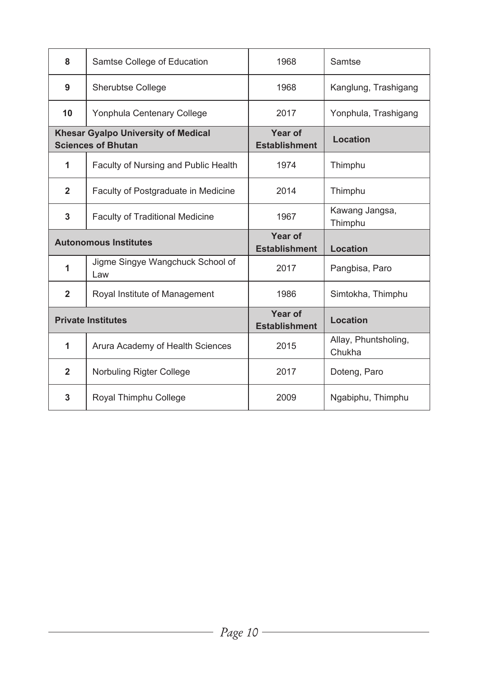| 8                                                                       | Samtse College of Education             | 1968                            | Samtse                         |
|-------------------------------------------------------------------------|-----------------------------------------|---------------------------------|--------------------------------|
| 9                                                                       | <b>Sherubtse College</b>                | 1968                            | Kanglung, Trashigang           |
| 10                                                                      | Yonphula Centenary College              | 2017                            | Yonphula, Trashigang           |
| <b>Khesar Gyalpo University of Medical</b><br><b>Sciences of Bhutan</b> |                                         | Year of<br><b>Establishment</b> | Location                       |
| 1                                                                       | Faculty of Nursing and Public Health    | 1974                            | Thimphu                        |
| $\overline{2}$                                                          | Faculty of Postgraduate in Medicine     | 2014                            | Thimphu                        |
| 3                                                                       | <b>Faculty of Traditional Medicine</b>  | 1967                            | Kawang Jangsa,<br>Thimphu      |
| <b>Autonomous Institutes</b>                                            |                                         |                                 |                                |
|                                                                         |                                         | Year of<br><b>Establishment</b> | Location                       |
| 1                                                                       | Jigme Singye Wangchuck School of<br>Law | 2017                            | Pangbisa, Paro                 |
| $\overline{2}$                                                          | Royal Institute of Management           | 1986                            | Simtokha, Thimphu              |
|                                                                         | <b>Private Institutes</b>               | Year of<br><b>Establishment</b> | Location                       |
| $\mathbf{1}$                                                            | Arura Academy of Health Sciences        | 2015                            | Allay, Phuntsholing,<br>Chukha |
| $\overline{2}$                                                          | Norbuling Rigter College                | 2017                            | Doteng, Paro                   |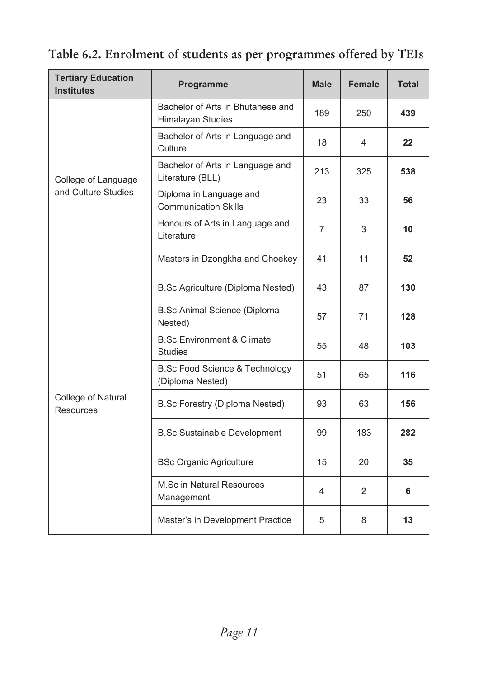**Table 6.2. Enrolment of students as per programmes offered by TEIs** 

| <b>Tertiary Education</b><br><b>Institutes</b> | Programme                                                     | <b>Male</b> | <b>Female</b> | Total |
|------------------------------------------------|---------------------------------------------------------------|-------------|---------------|-------|
|                                                | Bachelor of Arts in Bhutanese and<br>Himalayan Studies        | 189         | 250           | 439   |
|                                                | Bachelor of Arts in Language and<br>Culture                   | 18          | 4             | 22    |
| College of Language                            | Bachelor of Arts in Language and<br>Literature (BLL)          | 213         | 325           | 538   |
| and Culture Studies                            | Diploma in Language and<br><b>Communication Skills</b>        | 23          | 33            | 56    |
|                                                | Honours of Arts in Language and<br>Literature                 | 7           | 3             | 10    |
|                                                | Masters in Dzongkha and Choekey                               | 41          | 11            | 52    |
|                                                | B.Sc Agriculture (Diploma Nested)                             | 43          | 87            | 130   |
|                                                | <b>B.Sc Animal Science (Diploma</b><br>Nested)                | 57          | 71            | 128   |
|                                                | <b>B.Sc Environment &amp; Climate</b><br><b>Studies</b>       | 55          | 48            | 103   |
|                                                | <b>B.Sc Food Science &amp; Technology</b><br>(Diploma Nested) | 51          | 65            | 116   |
| College of Natural<br>Resources                | B.Sc Forestry (Diploma Nested)                                | 93          | 63            | 156   |
|                                                | <b>B.Sc Sustainable Development</b>                           | 99          | 183           | 282   |
|                                                | <b>BSc Organic Agriculture</b>                                | 15          | 20            | 35    |
|                                                | M.Sc in Natural Resources<br>Management                       | 4           | 2             | 6     |
|                                                | Master's in Development Practice                              | 5           | 8             | 13    |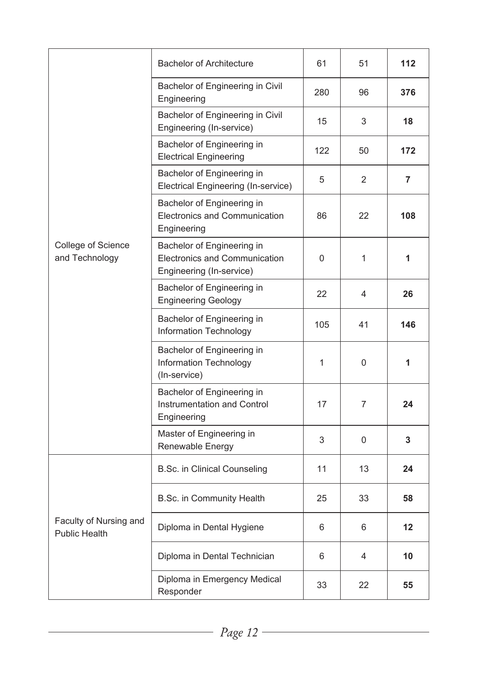|                                                | <b>Bachelor of Architecture</b>                                                         | 61          | 51             | 112 |
|------------------------------------------------|-----------------------------------------------------------------------------------------|-------------|----------------|-----|
|                                                | Bachelor of Engineering in Civil<br>Engineering                                         | 280         | 96             | 376 |
|                                                | Bachelor of Engineering in Civil<br>Engineering (In-service)                            | 15          | 3              | 18  |
|                                                | Bachelor of Engineering in<br><b>Electrical Engineering</b>                             | 122         | 50             | 172 |
|                                                | Bachelor of Engineering in<br>Electrical Engineering (In-service)                       | 5           | $\overline{2}$ | 7   |
|                                                | Bachelor of Engineering in<br>Electronics and Communication<br>Engineering              | 86          | 22             | 108 |
| College of Science<br>and Technology           | Bachelor of Engineering in<br>Electronics and Communication<br>Engineering (In-service) | $\mathbf 0$ | $\mathbf{1}$   | 1   |
|                                                | Bachelor of Engineering in<br><b>Engineering Geology</b>                                | 22          | 4              | 26  |
|                                                | Bachelor of Engineering in<br>Information Technology                                    | 105         | 41             | 146 |
|                                                | Bachelor of Engineering in<br>Information Technology<br>(In-service)                    | 1           | $\Omega$       | 1   |
|                                                | Bachelor of Engineering in<br>Instrumentation and Control<br>Engineering                | 17          | $\overline{7}$ | 24  |
|                                                | Master of Engineering in<br>Renewable Energy                                            | 3           | $\mathbf 0$    | 3   |
|                                                | <b>B.Sc. in Clinical Counseling</b>                                                     | 11          | 13             | 24  |
|                                                | B.Sc. in Community Health                                                               | 25          | 33             | 58  |
| Faculty of Nursing and<br><b>Public Health</b> | Diploma in Dental Hygiene                                                               | 6           | 6              | 12  |
|                                                | Diploma in Dental Technician                                                            | 6           | 4              | 10  |
|                                                | Diploma in Emergency Medical<br>Responder                                               | 33          | 22             | 55  |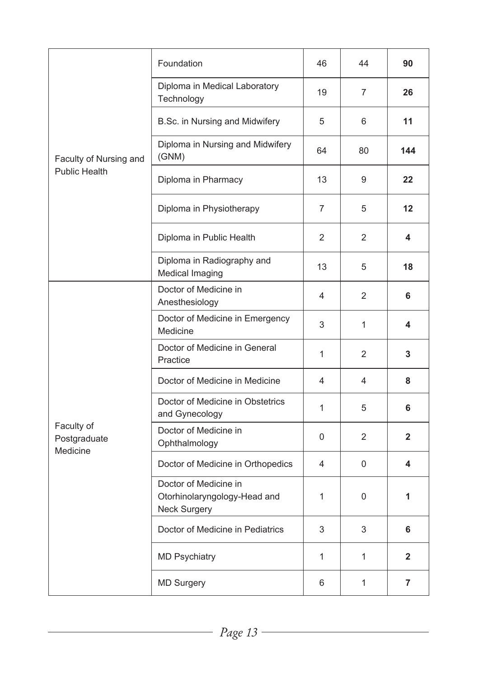|                                        | Foundation                                                            | 46             | 44             | 90             |
|----------------------------------------|-----------------------------------------------------------------------|----------------|----------------|----------------|
|                                        | Diploma in Medical Laboratory<br>Technology                           | 19             | $\overline{7}$ | 26             |
|                                        | B.Sc. in Nursing and Midwifery                                        | 5              | 6              | 11             |
| Faculty of Nursing and                 | Diploma in Nursing and Midwifery<br>(GNM)                             | 64             | 80             | 144            |
| <b>Public Health</b>                   | Diploma in Pharmacy                                                   | 13             | 9              | 22             |
|                                        | Diploma in Physiotherapy                                              | $\overline{7}$ | 5              | 12             |
|                                        | Diploma in Public Health                                              | 2              | $\overline{2}$ | 4              |
|                                        | Diploma in Radiography and<br>Medical Imaging                         | 13             | 5              | 18             |
|                                        | Doctor of Medicine in<br>Anesthesiology                               | 4              | 2              | 6              |
|                                        | Doctor of Medicine in Emergency<br>Medicine                           | 3              | 1              | 4              |
|                                        | Doctor of Medicine in General<br>Practice                             | 1              | $\overline{2}$ | 3              |
|                                        | Doctor of Medicine in Medicine                                        | 4              | 4              | 8              |
|                                        | Doctor of Medicine in Obstetrics<br>and Gynecology                    | 1              | 5              | 6              |
| Faculty of<br>Postgraduate<br>Medicine | Doctor of Medicine in<br>Ophthalmology                                | $\Omega$       | 2              | $\overline{2}$ |
|                                        | Doctor of Medicine in Orthopedics                                     | 4              | 0              | 4              |
|                                        | Doctor of Medicine in<br>Otorhinolaryngology-Head and<br>Neck Surgery | 1              | $\Omega$       | 1              |
|                                        | Doctor of Medicine in Pediatrics                                      | 3              | 3              | 6              |
|                                        | <b>MD Psychiatry</b>                                                  | 1              | 1              | $\overline{2}$ |
|                                        | <b>MD Surgery</b>                                                     | 6              | 1              | 7              |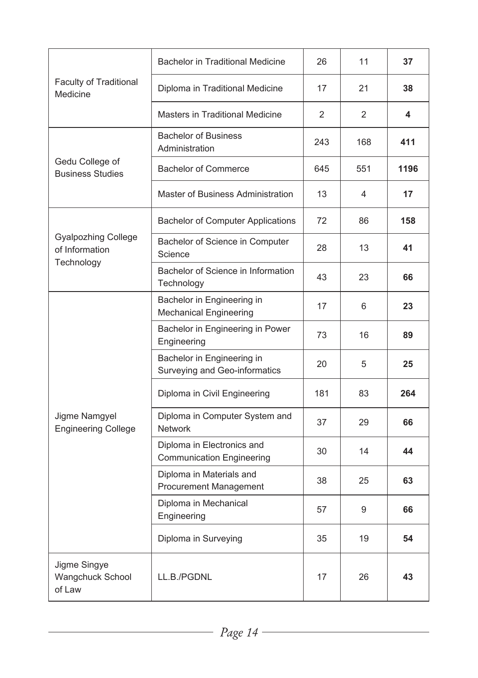|                                                            | <b>Bachelor in Traditional Medicine</b>                        | 26  | 11  | 37   |
|------------------------------------------------------------|----------------------------------------------------------------|-----|-----|------|
| Faculty of Traditional<br>Medicine                         | Diploma in Traditional Medicine                                | 17  | 21  | 38   |
|                                                            | Masters in Traditional Medicine                                | 2   | 2   | 4    |
|                                                            | <b>Bachelor of Business</b><br>Administration                  | 243 | 168 | 411  |
| Gedu College of<br><b>Business Studies</b>                 | <b>Bachelor of Commerce</b>                                    | 645 | 551 | 1196 |
|                                                            | Master of Business Administration                              | 13  | 4   | 17   |
|                                                            | Bachelor of Computer Applications                              | 72  | 86  | 158  |
| <b>Gyalpozhing College</b><br>of Information<br>Technology | Bachelor of Science in Computer<br>Science                     | 28  | 13  | 41   |
|                                                            | Bachelor of Science in Information<br>Technology               | 43  | 23  | 66   |
|                                                            | Bachelor in Engineering in<br><b>Mechanical Engineering</b>    | 17  | 6   | 23   |
|                                                            | Bachelor in Engineering in Power<br>Engineering                | 73  | 16  | 89   |
|                                                            | Bachelor in Engineering in<br>Surveying and Geo-informatics    | 20  | 5   | 25   |
|                                                            | Diploma in Civil Engineering                                   | 181 | 83  | 264  |
| Jigme Namgyel<br><b>Engineering College</b>                | Diploma in Computer System and<br><b>Network</b>               | 37  | 29  | 66   |
|                                                            | Diploma in Electronics and<br><b>Communication Engineering</b> | 30  | 14  | 44   |
|                                                            | Diploma in Materials and<br>Procurement Management             | 38  | 25  | 63   |
|                                                            | Diploma in Mechanical<br>Engineering                           | 57  | 9   | 66   |
|                                                            | Diploma in Surveying                                           | 35  | 19  | 54   |
| Jigme Singye<br>Wangchuck School<br>of Law                 | LL.B./PGDNL                                                    | 17  | 26  | 43   |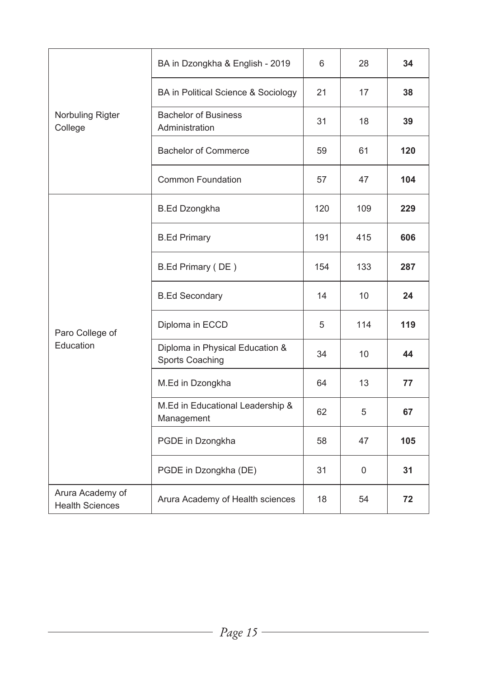|                                            | BA in Dzongkha & English - 2019                    | 6   | 28  | 34  |
|--------------------------------------------|----------------------------------------------------|-----|-----|-----|
|                                            | BA in Political Science & Sociology                | 21  | 17  | 38  |
| Norbuling Rigter<br>College                | <b>Bachelor of Business</b><br>Administration      | 31  | 18  | 39  |
|                                            | <b>Bachelor of Commerce</b>                        | 59  | 61  | 120 |
|                                            | Common Foundation                                  | 57  | 47  | 104 |
|                                            | <b>B.Ed Dzongkha</b>                               | 120 | 109 | 229 |
|                                            | <b>B.Ed Primary</b>                                | 191 | 415 | 606 |
|                                            | B.Ed Primary (DE)                                  | 154 | 133 | 287 |
| Paro College of<br>Education               | <b>B.Ed Secondary</b>                              | 14  | 10  | 24  |
|                                            | Diploma in ECCD                                    | 5   | 114 | 119 |
|                                            | Diploma in Physical Education &<br>Sports Coaching | 34  | 10  | 44  |
|                                            | M.Ed in Dzongkha                                   | 64  | 13  | 77  |
|                                            | M.Ed in Educational Leadership &<br>Management     | 62  | 5   | 67  |
|                                            | PGDE in Dzongkha                                   | 58  | 47  | 105 |
|                                            | PGDE in Dzongkha (DE)                              | 31  | 0   | 31  |
| Arura Academy of<br><b>Health Sciences</b> | Arura Academy of Health sciences                   | 18  | 54  | 72  |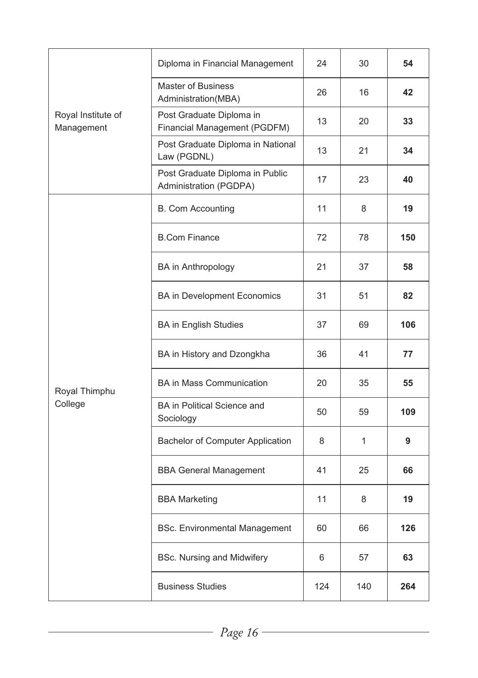|                                  | Diploma in Financial Management                           | 24  | 30  | 54  |
|----------------------------------|-----------------------------------------------------------|-----|-----|-----|
|                                  | <b>Master of Business</b><br>Administration(MBA)          | 26  | 16  | 42  |
| Royal Institute of<br>Management | Post Graduate Diploma in<br>Financial Management (PGDFM)  | 13  | 20  | 33  |
|                                  | Post Graduate Diploma in National<br>Law (PGDNL)          | 13  | 21  | 34  |
|                                  | Post Graduate Diploma in Public<br>Administration (PGDPA) | 17  | 23  | 40  |
|                                  | <b>B. Com Accounting</b>                                  | 11  | 8   | 19  |
|                                  | <b>B.Com Finance</b>                                      | 72  | 78  | 150 |
|                                  | <b>BA</b> in Anthropology                                 | 21  | 37  | 58  |
|                                  | <b>BA in Development Economics</b>                        | 31  | 51  | 82  |
| Royal Thimphu<br>College         | <b>BA</b> in English Studies                              | 37  | 69  | 106 |
|                                  | BA in History and Dzongkha                                | 36  | 41  | 77  |
|                                  | <b>BA in Mass Communication</b>                           | 20  | 35  | 55  |
|                                  | BA in Political Science and<br>Sociology                  | 50  | 59  | 109 |
|                                  | Bachelor of Computer Application                          | 8   | 1   | 9   |
|                                  | <b>BBA General Management</b>                             | 41  | 25  | 66  |
|                                  | <b>BBA Marketing</b>                                      | 11  | 8   | 19  |
|                                  | <b>BSc. Environmental Management</b>                      | 60  | 66  | 126 |
|                                  | <b>BSc. Nursing and Midwifery</b>                         | 6   | 57  | 63  |
|                                  | <b>Business Studies</b>                                   | 124 | 140 | 264 |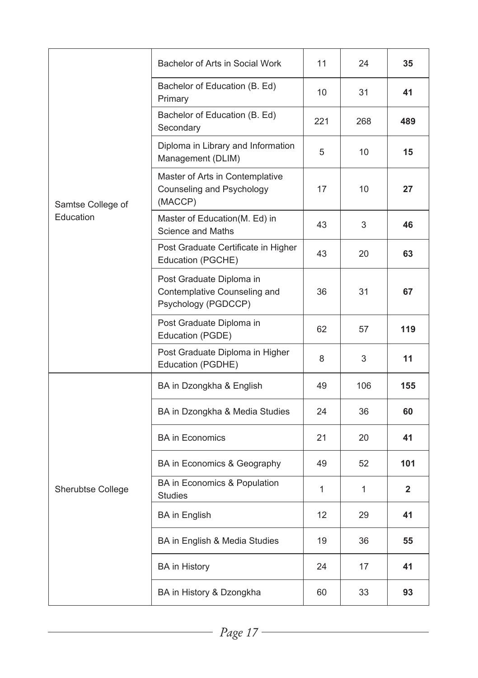|                   | Bachelor of Arts in Social Work                                                 | 11  | 24  | 35             |
|-------------------|---------------------------------------------------------------------------------|-----|-----|----------------|
|                   | Bachelor of Education (B. Ed)<br>Primary                                        | 10  | 31  | 41             |
|                   | Bachelor of Education (B. Ed)<br>Secondary                                      | 221 | 268 | 489            |
|                   | Diploma in Library and Information<br>Management (DLIM)                         | 5   | 10  | 15             |
| Samtse College of | Master of Arts in Contemplative<br>Counseling and Psychology<br>(MACCP)         | 17  | 10  | 27             |
| Education         | Master of Education(M. Ed) in<br>Science and Maths                              | 43  | 3   | 46             |
|                   | Post Graduate Certificate in Higher<br>Education (PGCHE)                        | 43  | 20  | 63             |
|                   | Post Graduate Diploma in<br>Contemplative Counseling and<br>Psychology (PGDCCP) | 36  | 31  | 67             |
|                   | Post Graduate Diploma in<br>Education (PGDE)                                    | 62  | 57  | 119            |
|                   | Post Graduate Diploma in Higher<br>Education (PGDHE)                            | 8   | 3   | 11             |
|                   | BA in Dzongkha & English                                                        | 49  | 106 | 155            |
|                   | BA in Dzongkha & Media Studies                                                  | 24  | 36  | 60             |
|                   | <b>BA</b> in Economics                                                          | 21  | 20  | 41             |
|                   | BA in Economics & Geography                                                     | 49  | 52  | 101            |
| Sherubtse College | BA in Economics & Population<br><b>Studies</b>                                  | 1   | 1   | $\overline{2}$ |
|                   | <b>BA</b> in English                                                            | 12  | 29  | 41             |
|                   | BA in English & Media Studies                                                   | 19  | 36  | 55             |
|                   | <b>BA</b> in History                                                            | 24  | 17  | 41             |
|                   | BA in History & Dzongkha                                                        | 60  | 33  | 93             |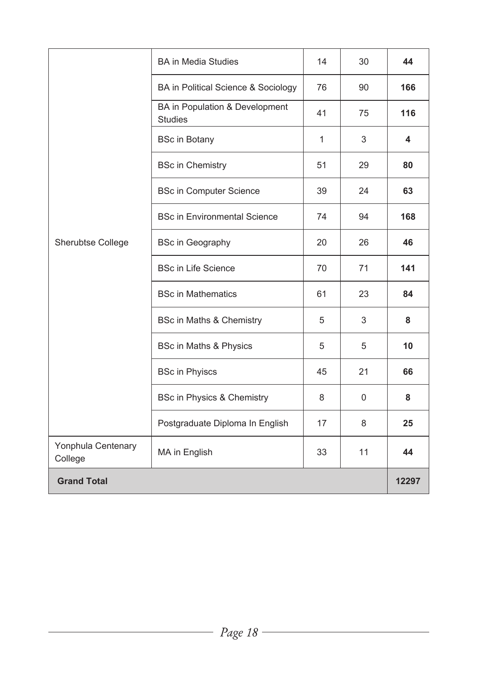|                               | <b>BA</b> in Media Studies                       | 14 | 30       | 44    |
|-------------------------------|--------------------------------------------------|----|----------|-------|
|                               | BA in Political Science & Sociology              | 76 | 90       | 166   |
|                               | BA in Population & Development<br><b>Studies</b> | 41 | 75       | 116   |
|                               | <b>BSc in Botany</b>                             | 1  | 3        | 4     |
|                               | <b>BSc in Chemistry</b>                          | 51 | 29       | 80    |
|                               | <b>BSc in Computer Science</b>                   | 39 | 24<br>63 |       |
|                               | <b>BSc in Environmental Science</b>              | 74 | 94       | 168   |
| Sherubtse College             | <b>BSc in Geography</b>                          | 20 | 26       | 46    |
|                               | <b>BSc in Life Science</b>                       | 70 | 71       | 141   |
|                               | <b>BSc in Mathematics</b>                        | 61 | 23       | 84    |
|                               | BSc in Maths & Chemistry                         | 5  | 3        | 8     |
|                               | BSc in Maths & Physics                           | 5  | 5        | 10    |
|                               | <b>BSc in Phyiscs</b>                            | 45 | 21       | 66    |
|                               | BSc in Physics & Chemistry                       | 8  | $\Omega$ | 8     |
|                               | Postgraduate Diploma In English                  | 17 | 8        | 25    |
| Yonphula Centenary<br>College | MA in English                                    | 33 | 11       | 44    |
| <b>Grand Total</b>            |                                                  |    |          | 12297 |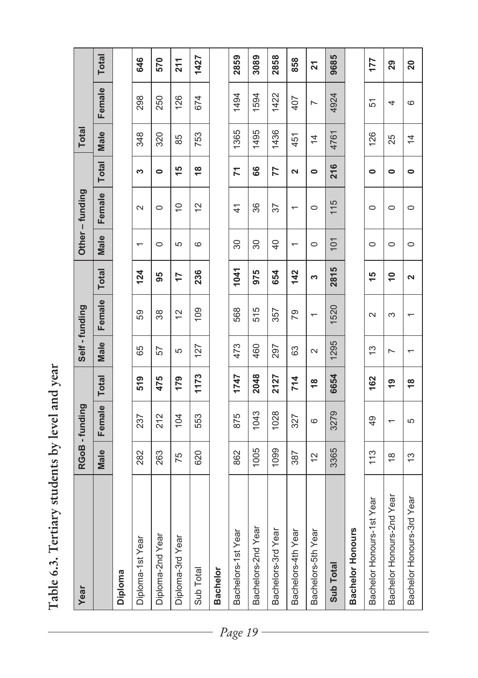| $\frac{1}{2}$<br>j<br><b>See</b><br>Ĩ |
|---------------------------------------|
| ;<br>J                                |
| .<br>ג                                |
| $\frac{1}{2}$                         |
| i                                     |
|                                       |
|                                       |

| Year                      |                         | RGoB - funding           |               |        | Self-funding   |                         |                          | Other-funding   |                      | <b>Total</b>   |                |                 |
|---------------------------|-------------------------|--------------------------|---------------|--------|----------------|-------------------------|--------------------------|-----------------|----------------------|----------------|----------------|-----------------|
|                           | Male                    | Female                   | <b>Total</b>  | Male   | Female         | <b>Total</b>            | Male                     | Female          | <b>Total</b>         | Male           | Female         | <b>Total</b>    |
| Diploma                   |                         |                          |               |        |                |                         |                          |                 |                      |                |                |                 |
| Diploma-1st Year          | 282                     | 237                      | 519           | 65     | 59             | 124                     | $\overline{\phantom{0}}$ | $\sim$          | S                    | 348            | 298            | 646             |
| Diploma-2nd Year          | 263                     | 212                      | 475           | 57     | 38             | 95                      | $\circ$                  | $\circ$         | $\bullet$            | 320            | 250            | 570             |
| Diploma-3rd Year          | 75                      | 104                      | 179           | 5      | $\tilde{c}$    | 17                      | 5                        | $\widetilde{=}$ | $\frac{6}{1}$        | 85             | 126            | 211             |
| Sub Total                 | 620                     | 553                      | 1173          | 127    | 109            | 236                     | $\circ$                  | $\tilde{c}$     | $\frac{8}{3}$        | 753            | 674            | 1427            |
| <b>Bachelor</b>           |                         |                          |               |        |                |                         |                          |                 |                      |                |                |                 |
| Bachelors-1st Year        | 862                     | 875                      | 1747          | 473    | 568            | 1041                    | 30                       | $\frac{4}{1}$   | $\overline{z}$       | 1365           | 1494           | 2859            |
| Bachelors-2nd Year        | 1005                    | 1043                     | 2048          | 460    | 515            | 975                     | 30                       | 36              | 66                   | 1495           | 1594           | 3089            |
| Bachelors-3rd Year        | 1099                    | 1028                     | 2127          | 297    | 357            | 654                     | $\overline{40}$          | 57              | 77                   | 1436           | 1422           | 2858            |
| Bachelors-4th Year        | 387                     | 327                      | 714           | 63     | 67             | 142                     |                          |                 | $\mathbf{\tilde{z}}$ | 451            | 407            | 858             |
| Bachelors-5th Year        | $\tilde{c}$             | $\circ$                  | $\frac{8}{1}$ | $\sim$ |                | S                       | $\circ$                  | $\circ$         | $\bullet$            | $\overline{4}$ | $\overline{ }$ | 21              |
| Sub Total                 | 3365                    | 3279                     | 6654          | 1295   | 1520           | 2815                    | 101                      | 115             | 216                  | 4761           | 4924           | 9685            |
| Bachelor Honours          |                         |                          |               |        |                |                         |                          |                 |                      |                |                |                 |
| Bachelor Honours-1st Year | 113                     | 49                       | 162           | 13     | $\sim$         | $\frac{5}{3}$           | $\circ$                  | $\circ$         | 0                    | 126            | 51             | 177             |
| Bachelor Honours-2nd Year | $\frac{\infty}{\infty}$ | $\overline{\phantom{0}}$ | <u>ღ</u>      | L      | S              | $\frac{1}{2}$           | $\circ$                  | $\circ$         | $\bullet$            | 25             | 4              | 29              |
| Bachelor Honours-3rd Year | ć                       | 5                        | $\frac{8}{1}$ |        | $\overline{ }$ | $\overline{\mathbf{c}}$ | $\circ$                  | $\circ$         | $\bullet$            | $\overline{4}$ | $\circ$        | $\overline{20}$ |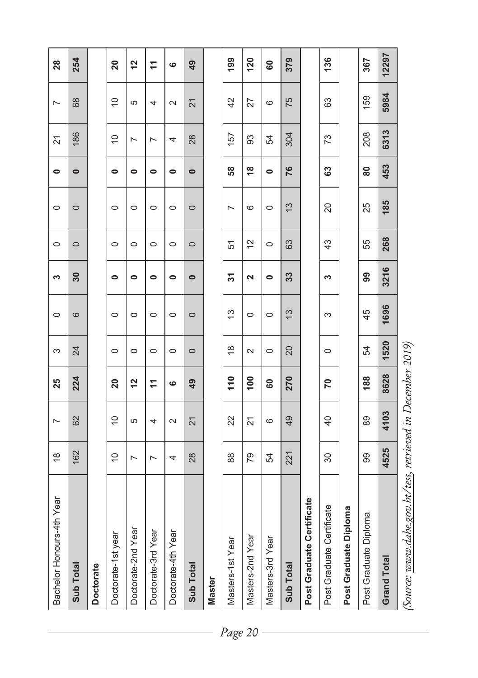| Bachelor Honours-4th Year                         | $\frac{\infty}{2}$ | $\sim$                                | 25              | S             | $\circ$       | S                    | $\circ$     | $\circ$       | $\bullet$     | $\overline{21}$ | $\sim$         | 28              |
|---------------------------------------------------|--------------------|---------------------------------------|-----------------|---------------|---------------|----------------------|-------------|---------------|---------------|-----------------|----------------|-----------------|
| Sub Total                                         | 162                | 62                                    | 224             | 24            | 6             | 30                   | $\circ$     | $\circ$       | $\bullet$     | 186             | 68             | 254             |
| <b>Doctorate</b>                                  |                    |                                       |                 |               |               |                      |             |               |               |                 |                |                 |
| Doctorate-1st year                                | $\widetilde{C}$    | $\cong$                               | $\overline{20}$ | $\circ$       | $\circ$       | $\bullet$            | $\circ$     | $\circ$       | $\bullet$     | $\overline{C}$  | $\frac{1}{2}$  | $\overline{20}$ |
| Doctorate-2nd Year                                | $\overline{ }$     | 5                                     | $\frac{1}{2}$   | $\circ$       | $\circ$       | $\bullet$            | $\circ$     | $\circ$       | $\bullet$     | $\overline{ }$  | 5              | $\frac{2}{3}$   |
| Doctorate-3rd Year                                | $\overline{ }$     | 4                                     | $\overline{1}$  | $\circ$       | $\circ$       | $\bullet$            | $\circ$     | $\circ$       | 0             | $\overline{ }$  | 4              | $\overline{1}$  |
| Doctorate-4th Year                                | 4                  | $\sim$                                | ဖ               | $\circ$       | $\circ$       | 0                    | $\circ$     | $\circ$       | 0             | 4               | $\sim$         | $\ddot{\circ}$  |
| Sub Total                                         | 28                 | $\overline{2}$                        | 49              | $\circ$       | $\circ$       | $\bullet$            | $\circ$     | $\circ$       | $\bullet$     | 28              | $\overline{2}$ | 49              |
| <b>Master</b>                                     |                    |                                       |                 |               |               |                      |             |               |               |                 |                |                 |
| Masters-1st Year                                  | 88                 | 22                                    | 110             | $\frac{8}{3}$ | $\frac{3}{2}$ | 51                   | 51          | $\sim$        | 58            | 157             | 42             | 199             |
| Masters-2nd Year                                  | 54                 | $\overline{2}$                        | 100             | $\sim$        | $\circ$       | $\mathbf{\tilde{z}}$ | $\tilde{c}$ | $\circ$       | $\frac{8}{3}$ | 93              | 27             | 120             |
| Masters-3rd Year                                  | R,                 | 6                                     | 60              | $\circ$       | $\circ$       | $\bullet$            | $\circ$     | $\circ$       | $\bullet$     | 54              | 6              | 80              |
| Sub Total                                         | 221                | 49                                    | 270             | 20            | $\frac{3}{2}$ | 33                   | 63          | $\frac{3}{2}$ | 76            | 304             | 75             | 379             |
| Post Graduate Certificate                         |                    |                                       |                 |               |               |                      |             |               |               |                 |                |                 |
| Post Graduate Certificate                         | 30                 | $\overline{40}$                       | 20              | $\circ$       | S             | S                    | 43          | 20            | 63            | 73              | 63             | 136             |
| Post Graduate Diploma                             |                    |                                       |                 |               |               |                      |             |               |               |                 |                |                 |
| Post Graduate Diploma                             | 99                 | 89                                    | 188             | 54            | 45            | 99                   | 55          | 25            | 80            | 208             | 159            | 367             |
| <b>Grand Total</b>                                | 4525               | 4103                                  | 8628            | 1520          | 1696          | 3216                 | 268         | 185           | 453           | 6313            | 5984           | 12297           |
| $\ddot{ }$<br>$\overline{\phantom{a}}$<br>$\zeta$ |                    | $\mathcal{L}$<br>$\ddot{\phantom{0}}$ | $\overline{a}$  | 221           |               |                      |             |               |               |                 |                |                 |

(Source: www.dahe.gov.bt/tess, retrieved in December 2019) *(Source: www.dahe.gov.bt/tess, retrieved in December 2019)*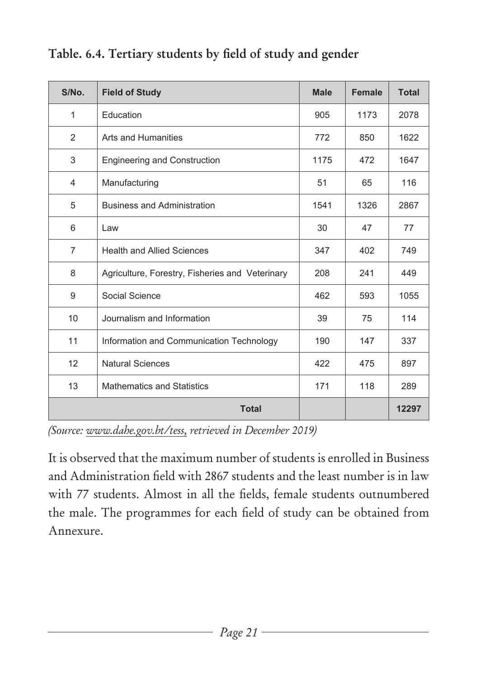| S/No.          | <b>Field of Study</b>                           | <b>Male</b> | <b>Female</b> | <b>Total</b> |
|----------------|-------------------------------------------------|-------------|---------------|--------------|
| 1              | Education                                       | 905         | 1173          | 2078         |
| 2              | Arts and Humanities                             | 772         | 850           | 1622         |
| 3              | <b>Engineering and Construction</b>             | 1175        | 472           | 1647         |
| 4              | Manufacturing                                   | 51          | 65            | 116          |
| 5              | <b>Business and Administration</b>              | 1541        | 1326          | 2867         |
| 6              | Law                                             | 30          | 47            | 77           |
| $\overline{7}$ | <b>Health and Allied Sciences</b>               | 347         | 402           | 749          |
| 8              | Agriculture, Forestry, Fisheries and Veterinary | 208         | 241           | 449          |
| 9              | Social Science                                  | 462         | 593           | 1055         |
| 10             | Journalism and Information                      | 39          | 75            | 114          |
| 11             | Information and Communication Technology        | 190         | 147           | 337          |
| 12             | <b>Natural Sciences</b>                         | 422         | 475           | 897          |
| 13             | <b>Mathematics and Statistics</b>               | 171         | 118           | 289          |
|                | <b>Total</b>                                    |             |               | 12297        |

#### **Table. 6.4. Tertiary students by field of study and gender**

*(Source: www.dahe.gov.bt/tess, retrieved in December 2019)*

It is observed that the maximum number of students is enrolled in Business and Administration field with 2867 students and the least number is in law with 77 students. Almost in all the fields, female students outnumbered the male. The programmes for each field of study can be obtained from Annexure.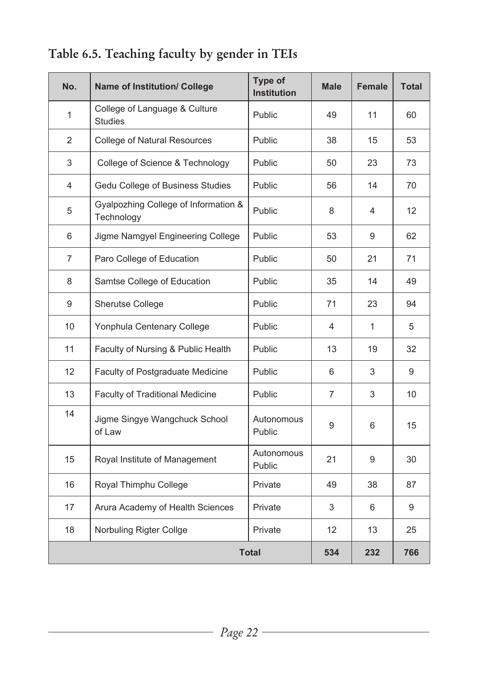| No. | <b>Name of Institution/ College</b>                | Type of<br><b>Institution</b> | <b>Male</b> | Female | <b>Total</b> |
|-----|----------------------------------------------------|-------------------------------|-------------|--------|--------------|
| 1   | College of Language & Culture<br><b>Studies</b>    | Public                        | 49          | 11     | 60           |
| 2   | <b>College of Natural Resources</b>                | Public                        | 38          | 15     | 53           |
| 3   | College of Science & Technology                    | Public                        | 50          | 23     | 73           |
| 4   | Gedu College of Business Studies                   | Public                        | 56          | 14     | 70           |
| 5   | Gyalpozhing College of Information &<br>Technology | Public                        | 8           | 4      | 12           |
| 6   | Jigme Namgyel Engineering College                  | Public                        | 53          | 9      | 62           |
| 7   | Paro College of Education                          | Public                        | 50          | 21     | 71           |
| 8   | Samtse College of Education                        | Public                        | 35          | 14     | 49           |
| 9   | Sherutse College                                   | Public                        | 71          | 23     | 94           |
| 10  | Yonphula Centenary College                         | Public                        | 4           | 1      | 5            |
| 11  | Faculty of Nursing & Public Health                 | Public                        | 13          | 19     | 32           |
| 12  | Faculty of Postgraduate Medicine                   | Public                        | 6           | 3      | 9            |
| 13  | Faculty of Traditional Medicine                    | Public                        | 7           | 3      | 10           |
| 14  | Jigme Singye Wangchuck School<br>of Law            | Autonomous<br>Public          | 9           | 6      | 15           |
| 15  | Royal Institute of Management                      | Autonomous<br>Public          | 21          | 9      | 30           |
| 16  | Royal Thimphu College                              | Private                       | 49          | 38     | 87           |
| 17  | Arura Academy of Health Sciences                   | Private                       | 3           | 6      | 9            |
| 18  | Norbuling Rigter Collge                            | Private                       | 12          | 13     | 25           |
|     |                                                    | <b>Total</b>                  | 534         | 232    | 766          |

## **Table 6.5. Teaching faculty by gender in TEIs**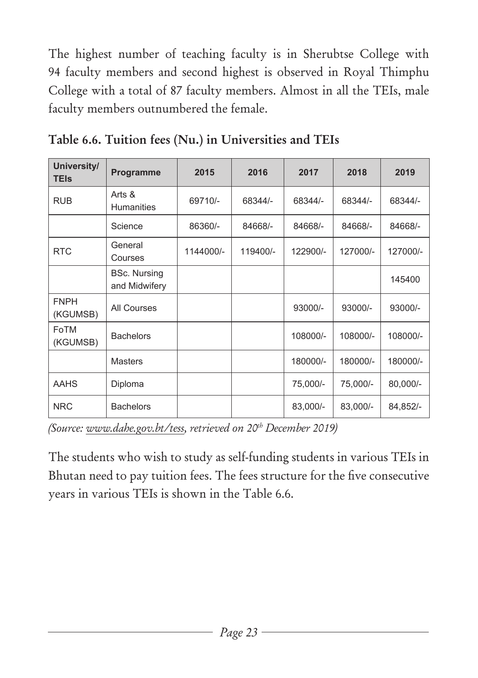The highest number of teaching faculty is in Sherubtse College with 94 faculty members and second highest is observed in Royal Thimphu College with a total of 87 faculty members. Almost in all the TEIs, male faculty members outnumbered the female.

| University/<br><b>TEIs</b> | Programme                            | 2015      | 2016     | 2017      | 2018     | 2019      |
|----------------------------|--------------------------------------|-----------|----------|-----------|----------|-----------|
| <b>RUB</b>                 | Arts &<br><b>Humanities</b>          | 69710/-   | 68344/-  | 68344/-   | 68344/-  | 68344/-   |
|                            | Science                              | 86360/-   | 84668/-  | 84668/-   | 84668/-  | 84668/-   |
| <b>RTC</b>                 | General<br>Courses                   | 1144000/- | 119400/- | 122900/-  | 127000/- | 127000/-  |
|                            | <b>BSc. Nursing</b><br>and Midwifery |           |          |           |          | 145400    |
| <b>FNPH</b><br>(KGUMSB)    | All Courses                          |           |          | $93000/-$ | 93000/-  | $93000/-$ |
| FoTM<br>(KGUMSB)           | <b>Bachelors</b>                     |           |          | 108000/-  | 108000/- | 108000/-  |
|                            | <b>Masters</b>                       |           |          | 180000/-  | 180000/- | 180000/-  |
| <b>AAHS</b>                | Diploma                              |           |          | 75,000/-  | 75,000/- | 80,000/-  |
| <b>NRC</b>                 | <b>Bachelors</b>                     |           |          | 83,000/-  | 83,000/- | 84,852/-  |

**Table 6.6. Tuition fees (Nu.) in Universities and TEIs**

*(Source: www.dahe.gov.bt/tess, retrieved on 20th December 2019)*

The students who wish to study as self-funding students in various TEIs in Bhutan need to pay tuition fees. The fees structure for the five consecutive years in various TEIs is shown in the Table 6.6.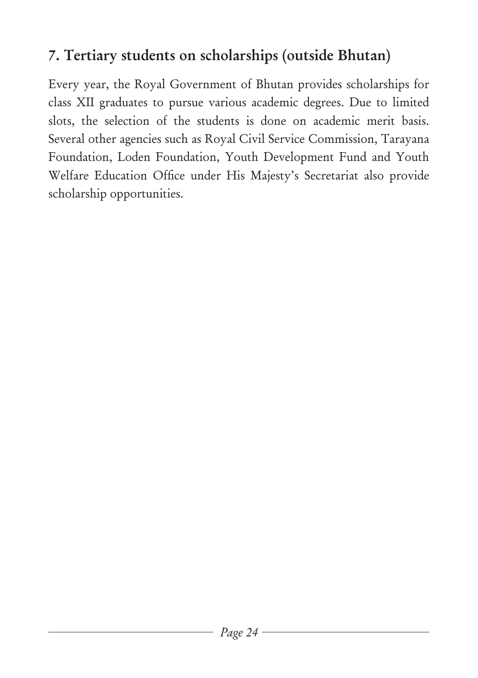# **7. Tertiary students on scholarships (outside Bhutan)**

Every year, the Royal Government of Bhutan provides scholarships for class XII graduates to pursue various academic degrees. Due to limited slots, the selection of the students is done on academic merit basis. Several other agencies such as Royal Civil Service Commission, Tarayana Foundation, Loden Foundation, Youth Development Fund and Youth Welfare Education Office under His Majesty's Secretariat also provide scholarship opportunities.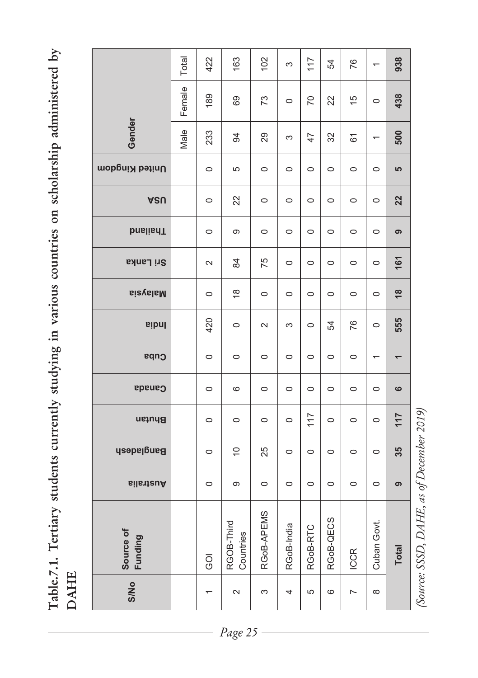Table.7.1. Tertiary students currently studying in various countries on scholarship administered by **Table.7.1. Tertiary students currently studying in various countries on scholarship administered by DAHE**

|                      | Total  | 422     | 163                       | 102        | 3          | 117            | 54        | 76            |                          | 938                      |
|----------------------|--------|---------|---------------------------|------------|------------|----------------|-----------|---------------|--------------------------|--------------------------|
|                      | Female | 189     | 69                        | 73         | $\circ$    | $\overline{C}$ | 22        | $\frac{5}{3}$ | $\circ$                  | 438                      |
| Gender               | Male   | 233     | \$                        | 29         | S          | 47             | 32        | 61            | ᡪ                        | 500                      |
| United Kingdom       |        | $\circ$ | 5                         | $\circ$    | $\circ$    | $\circ$        | $\circ$   | $\circ$       | $\circ$                  | 5                        |
| ASU                  |        | $\circ$ | 22                        | $\circ$    | $\circ$    | $\circ$        | $\circ$   | $\circ$       | $\circ$                  | 22                       |
| <b>bnslisdT</b>      |        | $\circ$ | Φ                         | $\circ$    | $\circ$    | $\circ$        | $\circ$   | $\circ$       | $\circ$                  | ၜ                        |
| Sri Lanka            |        | $\sim$  | 84                        | 75         | $\circ$    | $\circ$        | $\circ$   | $\circ$       | $\circ$                  | 161                      |
| <b>BizyslaM</b>      |        | $\circ$ | $\frac{8}{1}$             | $\circ$    | $\circ$    | $\circ$        | $\circ$   | $\circ$       | $\circ$                  | $\frac{8}{2}$            |
| sibnl                |        | 420     | $\circ$                   | $\sim$     | S          | $\circ$        | 54        | 76            | $\circ$                  | 555                      |
| Cuba                 |        | $\circ$ | $\circ$                   | $\circ$    | $\circ$    | $\circ$        | $\circ$   | $\circ$       | $\overline{\phantom{0}}$ | $\overline{\phantom{0}}$ |
| <b>Canada</b>        |        | $\circ$ | 6                         | $\circ$    | $\circ$    | $\circ$        | $\circ$   | $\circ$       | $\circ$                  | ဖ                        |
| Bhutan               |        | $\circ$ | $\circ$                   | $\circ$    | $\circ$    | 117            | $\circ$   | $\circ$       | $\circ$                  | 117                      |
| <b>Bangladesh</b>    |        | $\circ$ | $\widetilde{\phantom{a}}$ | 25         | $\circ$    | $\circ$        | $\circ$   | $\circ$       | $\circ$                  | 35                       |
| silsheuA             |        | $\circ$ | σ                         | $\circ$    | $\circ$    | $\circ$        | $\circ$   | $\circ$       | $\circ$                  | ၜ                        |
| Source of<br>Funding |        | Ō,      | RGOB-Third<br>Countries   | RGoB-APEMS | RGoB-India | RGoB-RTC       | RGoB-QECS | <b>ICCR</b>   | Cuban Govt.              | <b>Total</b>             |
| <b>S/No</b>          |        |         | $\sim$                    | 3          | 4          | 5              | 6         | L             | ${}^{\circ}$             |                          |

(Source: SSSD, DAHE, as of December 2019)  *(Source: SSSD, DAHE, as of December 2019)*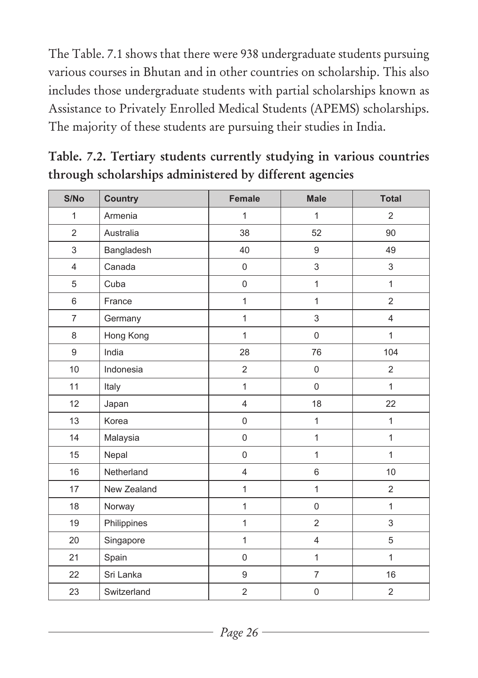The Table. 7.1 shows that there were 938 undergraduate students pursuing various courses in Bhutan and in other countries on scholarship. This also includes those undergraduate students with partial scholarships known as Assistance to Privately Enrolled Medical Students (APEMS) scholarships. The majority of these students are pursuing their studies in India.

| ັ              |                |                  |                  |                |
|----------------|----------------|------------------|------------------|----------------|
| S/No           | <b>Country</b> | Female           | <b>Male</b>      | <b>Total</b>   |
| $\mathbf{1}$   | Armenia        | $\mathbf{1}$     | $\mathbf{1}$     | 2              |
| $\overline{2}$ | Australia      | 38               | 52               | 90             |
| 3              | Bangladesh     | 40               | 9                | 49             |
| $\overline{4}$ | Canada         | $\boldsymbol{0}$ | 3                | $\mathfrak{Z}$ |
| 5              | Cuba           | $\boldsymbol{0}$ | $\mathbf{1}$     | $\mathbf{1}$   |
| 6              | France         | $\mathbf{1}$     | $\mathbf{1}$     | $\overline{2}$ |
| $\overline{7}$ | Germany        | $\mathbf{1}$     | 3                | $\overline{4}$ |
| 8              | Hong Kong      | $\mathbf{1}$     | $\boldsymbol{0}$ | $\mathbf{1}$   |
| 9              | India          | 28               | 76               | 104            |
| 10             | Indonesia      | $\overline{2}$   | $\boldsymbol{0}$ | $\overline{2}$ |
| 11             | Italy          | $\mathbf{1}$     | $\overline{0}$   | $\mathbf{1}$   |
| 12             | Japan          | $\overline{4}$   | 18               | 22             |
| 13             | Korea          | $\mathbf 0$      | $\mathbf{1}$     | $\mathbf{1}$   |
| 14             | Malaysia       | $\boldsymbol{0}$ | $\mathbf{1}$     | $\mathbf{1}$   |
| 15             | Nepal          | $\boldsymbol{0}$ | $\mathbf{1}$     | $\mathbf{1}$   |
| 16             | Netherland     | 4                | 6                | 10             |
| 17             | New Zealand    | $\mathbf{1}$     | 1                | $\overline{2}$ |
| 18             | Norway         | $\mathbf{1}$     | $\overline{0}$   | $\mathbf{1}$   |
| 19             | Philippines    | $\mathbf{1}$     | $\overline{2}$   | 3              |
| 20             | Singapore      | $\mathbf{1}$     | $\overline{4}$   | 5              |
| 21             | Spain          | $\boldsymbol{0}$ | $\mathbf{1}$     | $\mathbf{1}$   |
| 22             | Sri Lanka      | 9                | $\overline{7}$   | 16             |
| 23             | Switzerland    | $\overline{2}$   | $\mathbf 0$      | 2              |

**Table. 7.2. Tertiary students currently studying in various countries through scholarships administered by different agencies**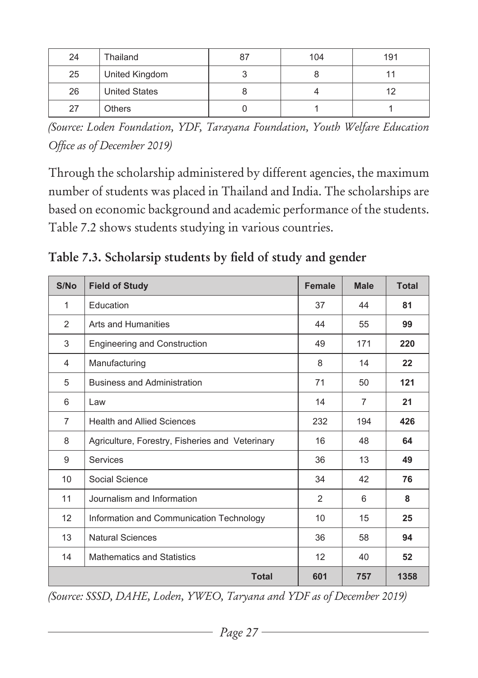| 24 | Thailand             | -87 | 104 | 191 |
|----|----------------------|-----|-----|-----|
| 25 | United Kingdom       |     |     |     |
| 26 | <b>United States</b> |     |     |     |
| 27 | <b>Others</b>        |     |     |     |

*(Source: Loden Foundation, YDF, Tarayana Foundation, Youth Welfare Education Office as of December 2019)*

Through the scholarship administered by different agencies, the maximum number of students was placed in Thailand and India. The scholarships are based on economic background and academic performance of the students. Table 7.2 shows students studying in various countries.

**Table 7.3. Scholarsip students by field of study and gender** 

| S/No           | <b>Field of Study</b>                           | <b>Female</b> | <b>Male</b>    | <b>Total</b> |
|----------------|-------------------------------------------------|---------------|----------------|--------------|
| 1              | Education                                       | 37            | 44             | 81           |
| 2              | Arts and Humanities                             | 44            | 55             | 99           |
| 3              | Engineering and Construction                    | 49            | 171            | 220          |
| 4              | Manufacturing                                   | 8             | 14             | 22           |
| 5              | <b>Business and Administration</b>              | 71            | 50             | 121          |
| 6              | Law                                             | 14            | $\overline{7}$ | 21           |
| $\overline{7}$ | <b>Health and Allied Sciences</b>               | 232           | 194            | 426          |
| 8              | Agriculture, Forestry, Fisheries and Veterinary | 16            | 48             | 64           |
| 9              | Services                                        | 36            | 13             | 49           |
| 10             | Social Science                                  | 34            | 42             | 76           |
| 11             | Journalism and Information                      | 2             | 6              | 8            |
| 12             | Information and Communication Technology        | 10            | 15             | 25           |
| 13             | <b>Natural Sciences</b>                         | 36            | 58             | 94           |
| 14             | <b>Mathematics and Statistics</b>               | 12            | 40             | 52           |
|                | <b>Total</b>                                    | 601           | 757            | 1358         |

*(Source: SSSD, DAHE, Loden, YWEO, Taryana and YDF as of December 2019)*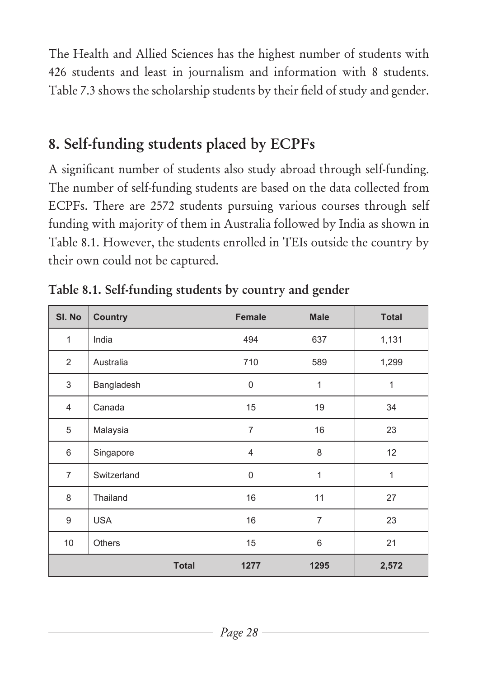The Health and Allied Sciences has the highest number of students with 426 students and least in journalism and information with 8 students. Table 7.3 shows the scholarship students by their field of study and gender.

## **8. Self-funding students placed by ECPFs**

A significant number of students also study abroad through self-funding. The number of self-funding students are based on the data collected from ECPFs. There are 2572 students pursuing various courses through self funding with majority of them in Australia followed by India as shown in Table 8.1. However, the students enrolled in TEIs outside the country by their own could not be captured.

| SI. No         | <b>Country</b> | Female         | <b>Male</b>    | <b>Total</b> |
|----------------|----------------|----------------|----------------|--------------|
| $\mathbf{1}$   | India          | 494            | 637            | 1,131        |
| 2              | Australia      | 710            | 589            | 1,299        |
| 3              | Bangladesh     | $\overline{0}$ | 1              | 1            |
| $\overline{4}$ | Canada         | 15             | 19             | 34           |
| 5              | Malaysia       | $\overline{7}$ | 16             | 23           |
| 6              | Singapore      | 4              | 8              | 12           |
| $\overline{7}$ | Switzerland    | $\overline{0}$ | 1              | 1            |
| 8              | Thailand       | 16             | 11             | 27           |
| 9              | <b>USA</b>     | 16             | $\overline{7}$ | 23           |
| 10             | <b>Others</b>  | 15             | 6              | 21           |
|                | <b>Total</b>   | 1277           | 1295           | 2,572        |

**Table 8.1. Self-funding students by country and gender**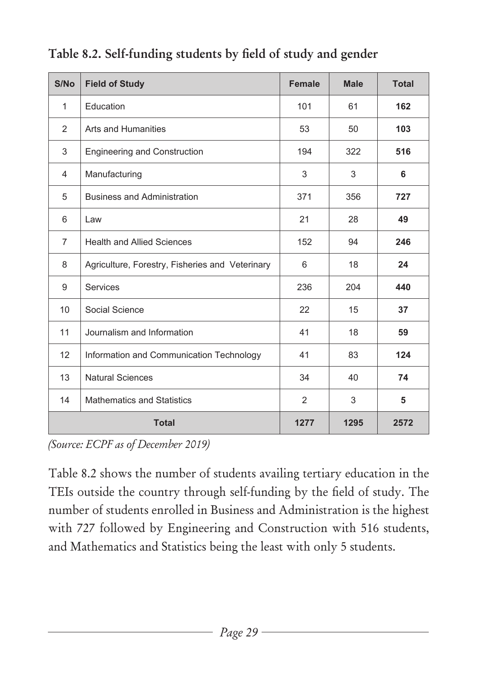| S/No           | <b>Field of Study</b>                           | <b>Female</b>  | <b>Male</b> | <b>Total</b> |
|----------------|-------------------------------------------------|----------------|-------------|--------------|
| $\mathbf{1}$   | Education                                       | 101            | 61          | 162          |
| 2              | Arts and Humanities                             | 53             | 50          | 103          |
| 3              | <b>Engineering and Construction</b>             | 194            | 322         | 516          |
| 4              | Manufacturing                                   | 3              | 3           | 6            |
| 5              | <b>Business and Administration</b>              | 371            | 356         | 727          |
| 6              | Law                                             | 21             | 28          | 49           |
| $\overline{7}$ | <b>Health and Allied Sciences</b>               | 152            | 94          | 246          |
| 8              | Agriculture, Forestry, Fisheries and Veterinary | 6              | 18          | 24           |
| 9              | <b>Services</b>                                 | 236            | 204         | 440          |
| 10             | Social Science                                  | 22             | 15          | 37           |
| 11             | Journalism and Information                      | 41             | 18          | 59           |
| 12             | Information and Communication Technology        | 41             | 83          | 124          |
| 13             | <b>Natural Sciences</b>                         | 34             | 40          | 74           |
| 14             | <b>Mathematics and Statistics</b>               | $\overline{2}$ | 3           | 5            |
|                | <b>Total</b>                                    | 1277           | 1295        | 2572         |

#### **Table 8.2. Self-funding students by field of study and gender**

*(Source: ECPF as of December 2019)*

Table 8.2 shows the number of students availing tertiary education in the TEIs outside the country through self-funding by the field of study. The number of students enrolled in Business and Administration is the highest with 727 followed by Engineering and Construction with 516 students, and Mathematics and Statistics being the least with only 5 students.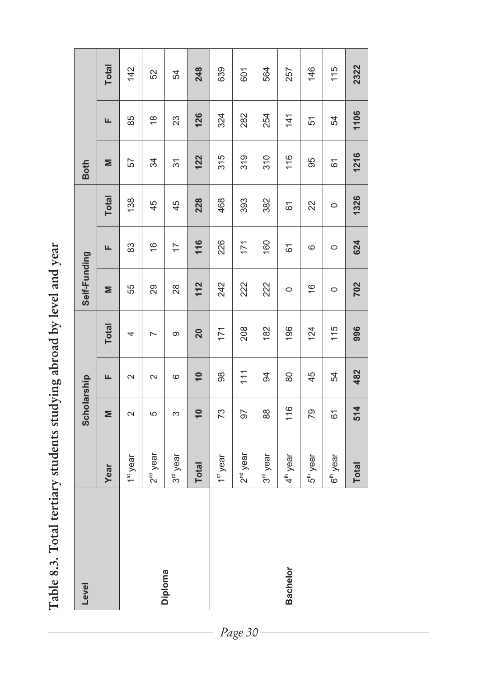Table 8.3. Total tertiary students studying abroad by level and year **Table 8.3. Total tertiary students studying abroad by level and year** 

| Level           |                        | Scholarship     |                 |                | Self-Funding         |                |              | <b>Both</b> |               |              |
|-----------------|------------------------|-----------------|-----------------|----------------|----------------------|----------------|--------------|-------------|---------------|--------------|
|                 | Year                   | Σ               | щ               | <b>Total</b>   | Σ                    | щ              | <b>Total</b> | Σ           | щ             | <b>Total</b> |
|                 | 1 <sup>st</sup> year   | $\sim$          | $\sim$          | 4              | 55                   | 83             | 138          | 57          | 85            | 142          |
|                 | 2 <sup>nd</sup> year   | 5               | $\sim$          | $\overline{ }$ | 29                   | $\frac{6}{2}$  | 45           | 34          | $\frac{8}{1}$ | 52           |
| Diploma         | 3 <sup>rd</sup> year   | S               | $\circ$         | တ              | 28                   | $\overline{1}$ | 45           | 37          | 23            | 54           |
|                 | <b>Total</b>           | $\overline{10}$ | $\overline{10}$ | 20             | 112                  | 116            | 228          | 122         | 126           | 248          |
|                 | 1 <sup>st</sup> year   | 73              | 98              | 171            | 242                  | 226            | 468          | 315         | 324           | 639          |
|                 | , 2 <sup>nd</sup> year | 56              | $\frac{1}{11}$  | 208            | 222                  | 171            | 393          | 319         | 282           | 601          |
|                 | 3 <sup>rd</sup> year   | 88              | 94              | 182            | 222                  | 160            | 382          | 310         | 254           | 564          |
| <b>Bachelor</b> | 4 <sup>th</sup> year   | 116             | 80              | 196            | $\circ$              | 61             | 61           | 116         | $\frac{4}{1}$ | 257          |
|                 | 5 <sup>th</sup> year   | 79              | 45              | 124            | $\widetilde{\Theta}$ | 6              | 22           | 95          | 51            | 146          |
|                 | 6 <sup>th</sup> year   | $\overline{6}$  | 54              | 115            | $\circ$              | $\circ$        | $\circ$      | 61          | 54            | 115          |
|                 | <b>Total</b>           | 514             | 482             | 996            | 702                  | 624            | 1326         | 1216        | 1106          | 2322         |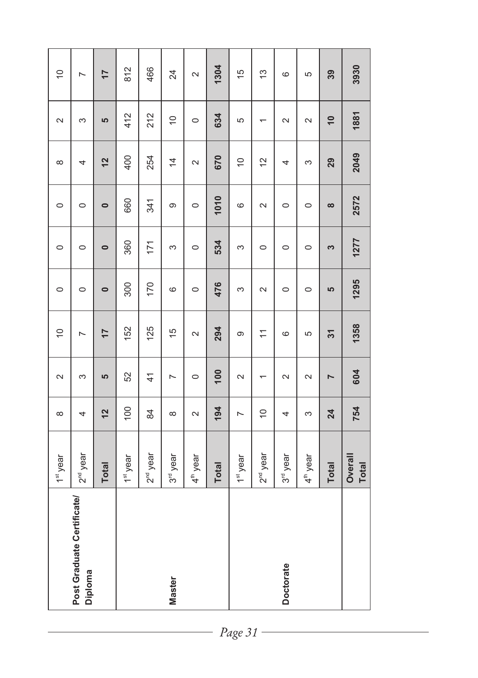| Post Graduate Certificate/ | 1 <sup>st</sup> year    | $\infty$       | $\sim$         | $\frac{1}{2}$   | $\circ$   | $\circ$   | $\circ$   | $\infty$       | $\sim$                   | $\frac{1}{2}$  |
|----------------------------|-------------------------|----------------|----------------|-----------------|-----------|-----------|-----------|----------------|--------------------------|----------------|
|                            | 2 <sup>nd</sup> year    | 4              | 3              | L               | $\circ$   | $\circ$   | $\circ$   | 4              | 3                        | L              |
|                            | <b>Total</b>            | 12             | 5              | $\overline{17}$ | $\bullet$ | $\bullet$ | $\bullet$ | 12             | 5                        | $\overline{1}$ |
|                            | 1 <sup>st</sup> year    | 100            | 52             | 152             | 300       | 360       | 660       | 400            | 412                      | 812            |
|                            | 2 <sup>nd</sup> year    | 84             | $\frac{4}{1}$  | 125             | 170       | 171       | 341       | 254            | 212                      | 466            |
|                            | 3 <sup>rd</sup> year    | $\infty$       | $\overline{ }$ | $\frac{5}{3}$   | $\circ$   | S         | တ         | $\overline{4}$ | $\frac{1}{2}$            | 24             |
|                            | 4 <sup>th</sup> year    | $\sim$         | $\circ$        | $\sim$          | $\circ$   | $\circ$   | $\circ$   | $\sim$         | $\circ$                  | $\sim$         |
|                            | <b>Total</b>            | 194            | 100            | 294             | 476       | 534       | 1010      | 670            | 634                      | 1304           |
|                            | 1 <sup>st</sup> year    | $\overline{ }$ | $\sim$         | ၜ               | 3         | S         | $\circ$   | $\cong$        | 5                        | $\frac{15}{2}$ |
|                            | 2 <sup>nd</sup> year    | $\overline{C}$ | $\overline{ }$ | $\overline{1}$  | $\sim$    | $\circ$   | $\sim$    | $\tilde{c}$    | $\overline{\phantom{0}}$ | $\frac{3}{2}$  |
| Doctorate                  | 3 <sup>rd</sup> year    | 4              | $\sim$         | $\circ$         | $\circ$   | $\circ$   | $\circ$   | 4              | $\sim$                   | $\circ$        |
|                            | 4 <sup>th</sup> year    | S              | $\sim$         | 5               | $\circ$   | $\circ$   | $\circ$   | S              | $\sim$                   | 5              |
|                            | <b>Total</b>            | 24             | $\overline{ }$ | $\overline{31}$ | 5         | S         | $\infty$  | 29             | $\overline{10}$          | 39             |
|                            | Overall<br><b>Total</b> | 754            | 604            | 1358            | 1295      | 1277      | 2572      | 2049           | 1881                     | 3930           |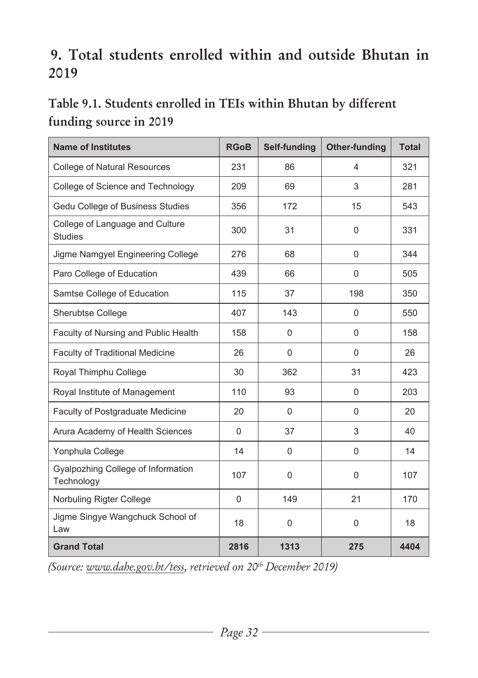## **9. Total students enrolled within and outside Bhutan in 2019**

#### **Table 9.1. Students enrolled in TEIs within Bhutan by different funding source in 2019**

| <b>Name of Institutes</b>                         | <b>RGoB</b> | Self-funding   | <b>Other-funding</b> | <b>Total</b> |
|---------------------------------------------------|-------------|----------------|----------------------|--------------|
| <b>College of Natural Resources</b>               | 231         | 86             | 4                    | 321          |
| College of Science and Technology                 | 209         | 69             | 3                    | 281          |
| Gedu College of Business Studies                  | 356         | 172            | 15                   | 543          |
| College of Language and Culture<br><b>Studies</b> | 300         | 31             | $\mathbf{0}$         | 331          |
| Jigme Namgyel Engineering College                 | 276         | 68             | $\mathbf{0}$         | 344          |
| Paro College of Education                         | 439         | 66             | $\mathbf{0}$         | 505          |
| Samtse College of Education                       | 115         | 37             | 198                  | 350          |
| Sherubtse College                                 | 407         | 143            | $\mathbf{0}$         | 550          |
| Faculty of Nursing and Public Health              | 158         | $\overline{0}$ | $\mathbf{0}$         | 158          |
| <b>Faculty of Traditional Medicine</b>            | 26          | $\overline{0}$ | $\Omega$             | 26           |
| Royal Thimphu College                             | 30          | 362            | 31                   | 423          |
| Royal Institute of Management                     | 110         | 93             | $\mathbf{0}$         | 203          |
| Faculty of Postgraduate Medicine                  | 20          | $\overline{0}$ | $\mathbf{0}$         | 20           |
| Arura Academy of Health Sciences                  | $\Omega$    | 37             | 3                    | 40           |
| Yonphula College                                  | 14          | $\mathbf 0$    | $\mathbf{0}$         | 14           |
| Gyalpozhing College of Information<br>Technology  | 107         | $\overline{0}$ | $\mathbf{0}$         | 107          |
| Norbuling Rigter College                          | $\Omega$    | 149            | 21                   | 170          |
| Jigme Singye Wangchuck School of<br>Law           | 18          | $\overline{0}$ | $\mathbf{0}$         | 18           |
| <b>Grand Total</b>                                | 2816        | 1313           | 275                  | 4404         |

*(Source: www.dahe.gov.bt/tess, retrieved on 20th December 2019)*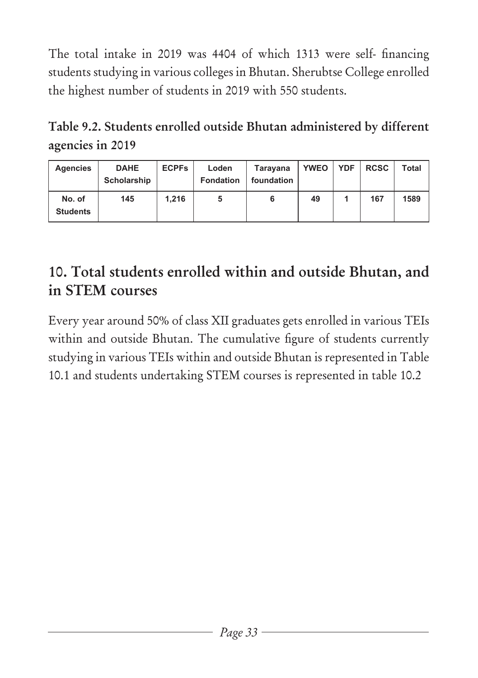The total intake in 2019 was 4404 of which 1313 were self- financing students studying in various colleges in Bhutan. Sherubtse College enrolled the highest number of students in 2019 with 550 students.

**Table 9.2. Students enrolled outside Bhutan administered by different agencies in 2019**

| <b>Agencies</b>           | <b>DAHE</b><br>Scholarship | <b>ECPFs</b> | Loden<br><b>Fondation</b> | Tarayana<br>foundation | <b>YWEO</b> | <b>YDF</b> | <b>RCSC</b> | Total |
|---------------------------|----------------------------|--------------|---------------------------|------------------------|-------------|------------|-------------|-------|
| No. of<br><b>Students</b> | 145                        | 1.216        | 5                         | 6                      | 49          |            | 167         | 1589  |

# **10. Total students enrolled within and outside Bhutan, and in STEM courses**

Every year around 50% of class XII graduates gets enrolled in various TEIs within and outside Bhutan. The cumulative figure of students currently studying in various TEIs within and outside Bhutan is represented in Table 10.1 and students undertaking STEM courses is represented in table 10.2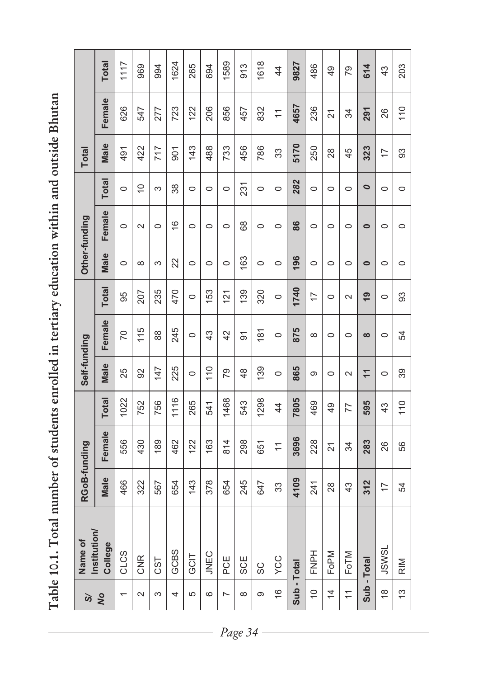Table 10.1. Total number of students enrolled in tertiary education within and outside Bhutan **Table 10.1. Total number of students enrolled in tertiary education within and outside Bhutan**

| ১                         | Name of                 | RGoB-funding   |                |                | Self-funding   |          |                |           | Other-funding |              | <b>Total</b>   |                |                |
|---------------------------|-------------------------|----------------|----------------|----------------|----------------|----------|----------------|-----------|---------------|--------------|----------------|----------------|----------------|
| $\infty$                  | Institution/<br>College | <b>Male</b>    | Female         | <b>Total</b>   | Male           | Female   | <b>Total</b>   | Male      | Female        | <b>Total</b> | Male           | Female         | <b>Total</b>   |
| $\overline{ }$            | CLCS                    | 466            | 556            | 1022           | 25             | 20       | 95             | $\circ$   | $\circ$       | $\circ$      | 491            | 626            | 1117           |
| $\sim$                    | <b>CNR</b>              | 322            | 430            | 752            | 92             | 115      | 207            | $\infty$  | $\sim$        | $\cong$      | 422            | 547            | 969            |
| 3                         | CST                     | 567            | 189            | 756            | 147            | 88       | 235            | S         | $\circ$       | 3            | 717            | 277            | 994            |
| 4                         | GCBS                    | 654            | 462            | 1116           | 225            | 245      | 470            | 22        | $\frac{6}{1}$ | 38           | 501            | 723            | 1624           |
| 5                         | <b>UCD</b>              | 143            | 122            | 265            | $\circ$        | $\circ$  | $\circ$        | $\circ$   | $\circ$       | $\circ$      | 143            | 122            | 265            |
| ဖ                         | <b>JNEC</b>             | 378            | 163            | 541            | 110            | 43       | 153            | $\circ$   | $\circ$       | $\circ$      | 488            | 206            | 694            |
| L                         | PCE                     | 654            | 814            | 1468           | 79             | 42       | 121            | $\circ$   | $\circ$       | $\circ$      | 733            | 856            | 1589           |
| ${}^{\circ}$              | SCE                     | 245            | 298            | 543            | 48             | 51       | 139            | 163       | 68            | 231          | 456            | 457            | 913            |
| Φ                         | SC                      | 647            | 651            | 1298           | 139            | 181      | 320            | $\circ$   | $\circ$       | $\circ$      | 786            | 832            | 1618           |
| $\widetilde{\mathcal{C}}$ | YCC                     | 33             | $\overline{1}$ | $\overline{4}$ | $\circ$        | $\circ$  | $\circ$        | $\circ$   | $\circ$       | $\circ$      | 33             | $\overline{1}$ | 44             |
| Sub - Total               |                         | 4109           | 3696           | 7805           | 865            | 875      | 1740           | 196       | 86            | 282          | 5170           | 4657           | 9827           |
| $\cong$                   | FNPH                    | 241            | 228            | 469            | σ              | $\infty$ | $\overline{1}$ | $\circ$   | $\circ$       | $\circ$      | 250            | 236            | 486            |
| $\overline{4}$            | FoPM                    | 28             | $\overline{2}$ | 49             | $\circ$        | $\circ$  | $\circ$        | $\circ$   | $\circ$       | $\circ$      | 28             | $\overline{2}$ | $\frac{49}{5}$ |
| $\overline{1}$            | FoTM                    | 43             | 34             | 77             | $\sim$         | $\circ$  | $\sim$         | $\circ$   | $\circ$       | $\circ$      | 45             | 34             | 79             |
|                           | Sub-Total               | 312            | 283            | 595            | $\overline{1}$ | $\infty$ | $\overline{9}$ | $\bullet$ | $\bullet$     | $\bullet$    | 323            | 291            | 614            |
| $\frac{8}{1}$             | JSWSL                   | $\overline{1}$ | 26             | 43             | $\circ$        | $\circ$  | $\circ$        | $\circ$   | $\circ$       | $\circ$      | $\overline{1}$ | 26             | 43             |
| 13                        | $\frac{N}{R}$           | 54             | 56             | 110            | 39             | 54       | 93             | $\circ$   | $\circ$       | $\circ$      | 93             | 110            | 203            |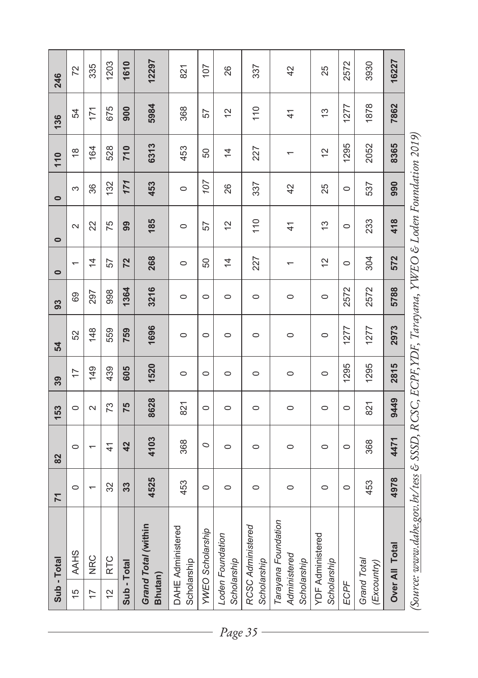|                            | Sub-Total                                                                                                                                                                                                                                                                                                                                                 | $\overline{7}$ | 82            | 153     | 39             | 54      | 93      | $\bullet$      | $\bullet$                      | $\bullet$ | 110                      | 136            | 246   |
|----------------------------|-----------------------------------------------------------------------------------------------------------------------------------------------------------------------------------------------------------------------------------------------------------------------------------------------------------------------------------------------------------|----------------|---------------|---------|----------------|---------|---------|----------------|--------------------------------|-----------|--------------------------|----------------|-------|
| 5                          | <b>AAHS</b>                                                                                                                                                                                                                                                                                                                                               | $\circ$        | $\circ$       | $\circ$ | $\overline{1}$ | 52      | 69      | $\overline{ }$ | $\sim$                         | 3         | $\frac{8}{1}$            | 54             | 72    |
| $\overline{1}$             | <b>NRC</b>                                                                                                                                                                                                                                                                                                                                                |                |               | $\sim$  | 149            | 148     | 297     | $\overline{4}$ | 22                             | 36        | 164                      | 171            | 335   |
| 2                          | <b>RTC</b>                                                                                                                                                                                                                                                                                                                                                | 32             | $\frac{4}{1}$ | 73      | 439            | 559     | 998     | 57             | 75                             | 132       | 528                      | 675            | 1203  |
| Sub-Total                  |                                                                                                                                                                                                                                                                                                                                                           | 33             | 42            | 75      | 605            | 759     | 1364    | 72             | 99                             | 171       | 710                      | 900            | 1610  |
| Bhutan)                    | Grand Total (within                                                                                                                                                                                                                                                                                                                                       | 4525           | 4103          | 8628    | 1520           | 1696    | 3216    | 268            | 185                            | 453       | 6313                     | 5984           | 12297 |
| Scholarship                | DAHE Administered                                                                                                                                                                                                                                                                                                                                         | 453            | 368           | 821     | $\circ$        | $\circ$ | $\circ$ | $\circ$        | $\circ$                        | $\circ$   | 453                      | 368            | 821   |
|                            | <b>YWEO Scholarship</b>                                                                                                                                                                                                                                                                                                                                   | $\circ$        | $\circ$       | $\circ$ | $\circ$        | $\circ$ | $\circ$ | 50             | 57                             | 107       | 50                       | 57             | 107   |
| Scholarship                | Loden Foundation                                                                                                                                                                                                                                                                                                                                          | $\circ$        | $\circ$       | $\circ$ | $\circ$        | $\circ$ | $\circ$ | $\overline{4}$ | $\frac{1}{2}$                  | 26        | $\overline{4}$           | 5              | 26    |
| Scholarship                | RCSC Administered                                                                                                                                                                                                                                                                                                                                         | $\circ$        | $\circ$       | $\circ$ | $\circ$        | $\circ$ | $\circ$ | 227            | 110                            | 337       | 227                      | 110            | 337   |
| Scholarship                | Tarayana Foundation<br>Administered                                                                                                                                                                                                                                                                                                                       | $\circ$        | $\circ$       | $\circ$ | $\circ$        | $\circ$ | $\circ$ |                | $\frac{4}{1}$                  | 42        | $\overline{\phantom{0}}$ | $\overline{4}$ | 42    |
| Scholarship                | <b>YDF Administered</b>                                                                                                                                                                                                                                                                                                                                   | $\circ$        | $\circ$       | $\circ$ | $\circ$        | $\circ$ | $\circ$ | 51             | $\frac{3}{2}$                  | 25        | $\frac{1}{2}$            | ĉ              | 25    |
| ECPF                       |                                                                                                                                                                                                                                                                                                                                                           | $\circ$        | $\circ$       | $\circ$ | 1295           | 1277    | 2572    | $\circ$        | $\circ$                        | $\circ$   | 1295                     | 1277           | 2572  |
| Grand Total<br>(Excountry) |                                                                                                                                                                                                                                                                                                                                                           | 453            | 368           | 821     | 1295           | 1277    | 2572    | 304            | 233                            | 537       | 2052                     | 1878           | 3930  |
|                            | Over All Total                                                                                                                                                                                                                                                                                                                                            | 4978           | 4471          | 9449    | 2815           | 2973    | 5788    | 572            | 418                            | 990       | 8365                     | 7862           | 16227 |
|                            | $\lambda$ and $\lambda$ and $\lambda$ and $\lambda$ and $\lambda$ and $\lambda$ and $\lambda$ and $\lambda$ and $\lambda$ and $\lambda$ and $\lambda$ and $\lambda$ and $\lambda$ and $\lambda$ and $\lambda$ and $\lambda$ and $\lambda$ and $\lambda$ and $\lambda$ and $\lambda$ and $\lambda$ and $\lambda$ and $\lambda$ and $\lambda$ and $\lambda$ |                |               |         |                |         |         |                | VIVEO E I adom Foundation 2019 |           |                          |                |       |

(2014) Source: www.adobe.gov.br/ess & 3977 v.C.SC, ECFL; I Dr., I drayana, I WEO & Loden Foundation 2013 *(Source: www.dahe.gov.bt/tess & SSSD, RCSC, ECPF,YDF, Tarayana, YWEO & Loden Foundation 2019)*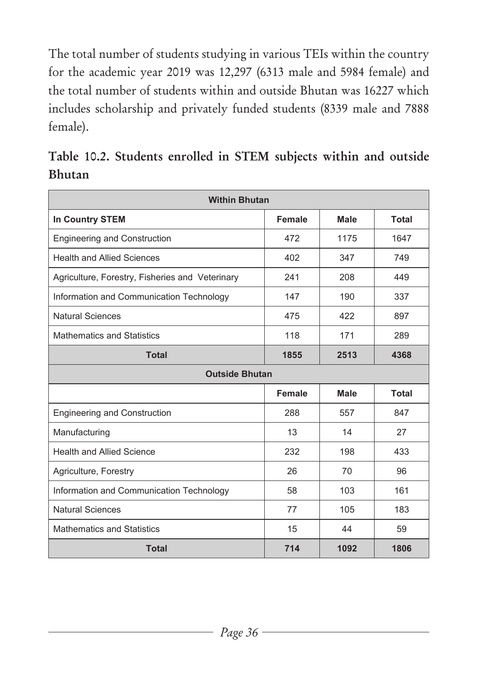The total number of students studying in various TEIs within the country for the academic year 2019 was 12,297 (6313 male and 5984 female) and the total number of students within and outside Bhutan was 16227 which includes scholarship and privately funded students (8339 male and 7888 female).

**Table 10.2. Students enrolled in STEM subjects within and outside Bhutan**

| <b>Within Bhutan</b>                            |               |             |              |
|-------------------------------------------------|---------------|-------------|--------------|
| In Country STEM                                 | <b>Female</b> | <b>Male</b> | Total        |
| <b>Engineering and Construction</b>             | 472           | 1175        | 1647         |
| <b>Health and Allied Sciences</b>               | 402           | 347         | 749          |
| Agriculture, Forestry, Fisheries and Veterinary | 241           | 208         | 449          |
| Information and Communication Technology        | 147           | 190         | 337          |
| <b>Natural Sciences</b>                         | 475           | 422         | 897          |
| <b>Mathematics and Statistics</b>               | 118           | 171         | 289          |
| <b>Total</b>                                    | 1855          | 2513        | 4368         |
| <b>Outside Bhutan</b>                           |               |             |              |
|                                                 | <b>Female</b> | <b>Male</b> | <b>Total</b> |
| <b>Engineering and Construction</b>             | 288           | 557         | 847          |
| Manufacturing                                   | 13            | 14          | 27           |
| <b>Health and Allied Science</b>                | 232           | 198         | 433          |
| Agriculture, Forestry                           | 26            | 70          | 96           |
| Information and Communication Technology        | 58            | 103         | 161          |
| <b>Natural Sciences</b>                         | 77            | 105         | 183          |
| <b>Mathematics and Statistics</b>               | 15            | 44          | 59           |
| <b>Total</b>                                    | 714           | 1092        | 1806         |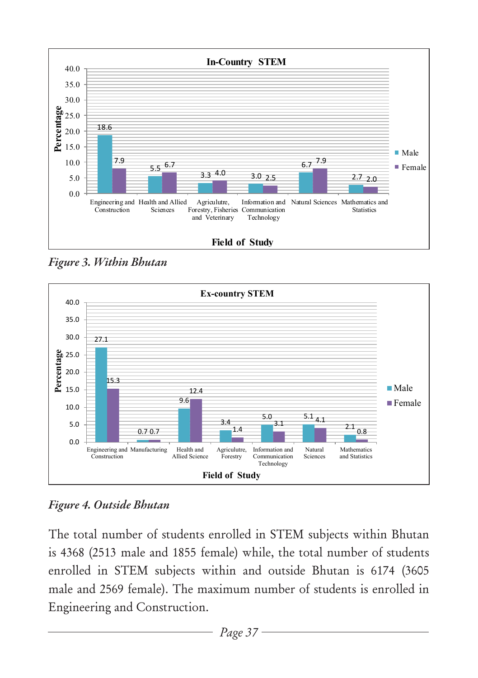

*Figure 3. Within Bhutan*



*Figure 4. Outside Bhutan*

The total number of students enrolled in STEM subjects within Bhutan is 4368 (2513 male and 1855 female) while, the total number of students enrolled in STEM subjects within and outside Bhutan is 6174 (3605 male and 2569 female). The maximum number of students is enrolled in Engineering and Construction.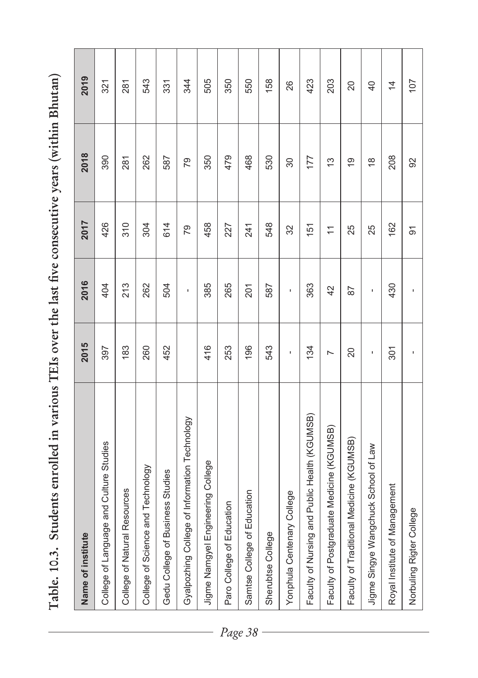Table. 10.3. Students enrolled in various TEIs over the last five consecutive years (within Bhutan) **Table. 10.3. Students enrolled in various TEIs over the last five consecutive years (within Bhutan)** 

| Name of institute                             | 2015           | 2016 | 2017           | 2018          | 2019            |
|-----------------------------------------------|----------------|------|----------------|---------------|-----------------|
| College of Language and Culture Studies       | 397            | 404  | 426            | 390           | 321             |
| College of Natural Resources                  | 183            | 213  | 310            | 281           | 281             |
| College of Science and Technology             | 260            | 262  | 304            | 262           | 543             |
| Gedu College of Business Studies              | 452            | 504  | 614            | 587           | 331             |
| Gyalpozhing College of Information Technology |                | ï    | 79             | 79            | 344             |
| Jigme Namgyel Engineering College             | 416            | 385  | 458            | 350           | 505             |
| Paro College of Education                     | 253            | 265  | 227            | 479           | 350             |
| Samtse College of Education                   | 196            | 201  | 241            | 468           | 550             |
| Sherubtse College                             | 543            | 587  | 548            | 530           | 158             |
| Yonphula Centenary College                    | ı              | ı    | 32             | 30            | 26              |
| Faculty of Nursing and Public Health (KGUMSB) | 134            | 363  | 151            | 177           | 423             |
| Faculty of Postgraduate Medicine (KGUMSB)     | $\overline{ }$ | 42   | $\overline{ }$ | $\frac{3}{2}$ | 203             |
| Faculty of Traditional Medicine (KGUMSB)      | 20             | 57   | 25             | ō,            | 20              |
| Jigme Singye Wangchuck School of Law          | ı              | ı    | 25             | $\frac{8}{1}$ | $\overline{40}$ |
| Royal Institute of Management                 | 301            | 430  | 162            | 208           | $\overline{4}$  |
| Norbuling Rigter College                      | ı              | ı    | 5              | 92            | 107             |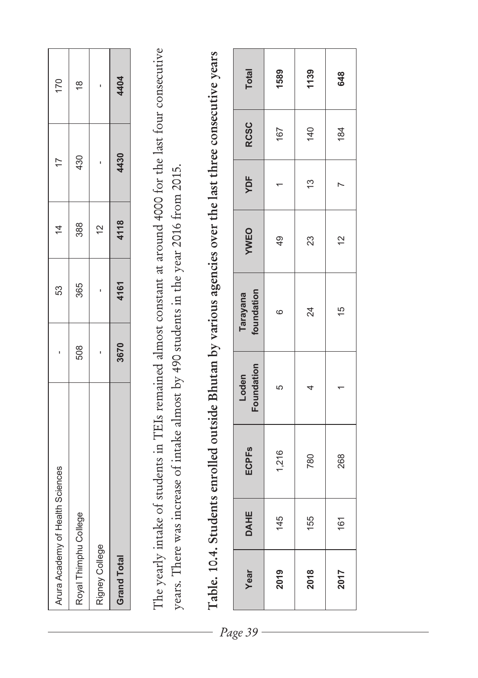| Arura Academy of Health Sciences |      | 53   | $\dot{4}$     | $\overline{1}$ | 170           |
|----------------------------------|------|------|---------------|----------------|---------------|
| Royal Thimphu College            | 508  | 365  | 388           | 430            | $\frac{8}{3}$ |
| Rigney College                   |      |      | $\frac{1}{2}$ |                |               |
| <b>Grand Total</b>               | 3670 | 4161 | 4118          | 4430           | 4404          |
|                                  |      |      |               |                |               |

The yearly intake of students in TEIs remained almost constant at around 4000 for the last four consecutive The yearly intake of students in TEIs remained almost constant at around 4000 for the last four consecutive years. There was increase of intake almost by 490 students in the year 2016 from 2015. years. There was increase of intake almost by 490 students in the year 2016 from 2015.

| Total                   | 1589  | 1139 | 648  |
|-------------------------|-------|------|------|
| <b>RCSC</b>             | 167   | 140  | 184  |
| YDF                     |       | 13   |      |
| YWEO                    | 49    | 23   | 2    |
| Tarayana<br>foundation  | 6     | 24   | 15   |
| Loden<br>Foundation     | 5     | 4    |      |
| <b>ECPF<sub>S</sub></b> | 1,216 | 780  | 268  |
| <b>DAHE</b>             | 145   | 155  | 161  |
| Year                    | 2019  | 2018 | 2017 |

Table. 10.4. Students enrolled outside Bhutan by various agencies over the last three consecutive years **Table. 10.4. Students enrolled outside Bhutan by various agencies over the last three consecutive years**

*Page 39*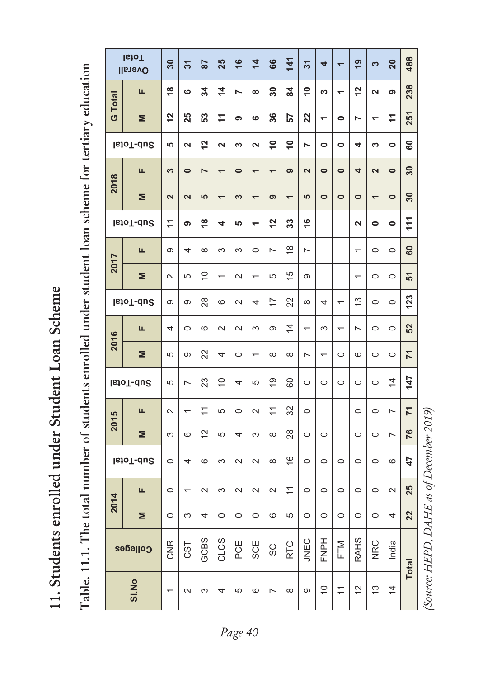11. Students enrolled under Student Loan Scheme **11. Students enrolled under Student Loan Scheme** 

Table. 11.1. The total number of students enrolled under student loan scheme for tertiary education **Table. 11.1. The total number of students enrolled under student loan scheme for tertiary education**

|         | <b>IstoT</b><br><b>Dverall</b> | $\overline{30}$         | స్                   | 28             | 25                       | $\frac{6}{5}$  | $\overline{4}$    | 66                       | 141            | $\frac{1}{2}$           | 4                        | $\overline{ }$           | $\overline{6}$           | S                        | 20             | 488               |                                          |
|---------|--------------------------------|-------------------------|----------------------|----------------|--------------------------|----------------|-------------------|--------------------------|----------------|-------------------------|--------------------------|--------------------------|--------------------------|--------------------------|----------------|-------------------|------------------------------------------|
|         | щ                              | $\frac{8}{1}$           | $\circ$              | ಸ              | $\dot{4}$                | $\overline{ }$ | $\infty$          | ౚ                        | <b>Z</b>       | $\tilde{=}$             | w                        | $\overline{\phantom{0}}$ | 57                       | $\mathbf{\tilde{z}}$     | စ              | 238               |                                          |
| G Total | Σ                              | $\overline{2}$          | 25                   | 53             | $\vec{r}$                | თ              | ဖ                 | 36                       | 57             | 22                      | $\overline{\phantom{0}}$ | 0                        | N                        | $\overline{\phantom{0}}$ | ÷              | 251               |                                          |
|         | Sub-Total                      | 5                       | $\mathbf{\tilde{z}}$ | $\frac{2}{3}$  | Z                        | ω              | N                 | $\tilde{=}$              | $\tilde{=}$    | r                       | $\bullet$                | 0                        | 4                        | ω                        | $\bullet$      | 80                |                                          |
| 2018    | щ                              | က                       | $\bullet$            | $\overline{ }$ | $\overline{\phantom{0}}$ | $\bullet$      | $\overline{ }$    | $\overline{\phantom{0}}$ | ၜ              | $\overline{\mathbf{c}}$ | $\bullet$                | $\bullet$                | 4                        | $\overline{\mathbf{c}}$  | $\bullet$      | 30                |                                          |
|         | Σ                              | $\overline{\mathbf{N}}$ | $\mathbf{\Omega}$    | <b>LO</b>      | $\overline{ }$           | <b>က</b>       | $\overline{ }$    | ၜ                        | $\overline{ }$ | မာ                      | $\bullet$                | $\bullet$                | $\bullet$                | $\overline{ }$           | $\bullet$      | $\boldsymbol{30}$ |                                          |
|         | Sub-Total                      | 7                       | თ                    | $\frac{8}{1}$  | 4                        | မာ             | $\overline{ }$    | $\overline{c}$           | 33             | $\frac{6}{1}$           |                          |                          | $\mathbf{\tilde{z}}$     | $\bullet$                | $\bullet$      | 111               |                                          |
|         | ш                              | တ                       | 4                    | $\infty$       | 3                        | S              | $\circ$           | $\overline{ }$           | ≌              | $\overline{ }$          |                          |                          | $\overline{}$            | $\circ$                  | $\circ$        | ౚ                 |                                          |
| 2017    | Σ                              | $\sim$                  | ယ                    | $\supseteq$    | $\overline{ }$           | $\sim$         | $\overline{ }$    | 5                        | 으              | $\infty$                |                          |                          | $\overline{\phantom{0}}$ | $\circ$                  | $\circ$        | 5                 |                                          |
|         | Sub-Total                      | $\infty$                | Φ                    | 28             | 6                        | $\sim$         | 4                 | 7                        | 22             | $\infty$                | 4                        | $\overline{ }$           | 13                       | $\circ$                  | $\circ$        | 123               |                                          |
|         | щ                              | 4                       | $\circ$              | 6              | $\sim$                   | $\sim$         | S                 | တ                        | $\overline{4}$ | $\overline{ }$          | S                        | $\overline{\phantom{0}}$ | L                        | $\circ$                  | $\circ$        | 52                |                                          |
| 2016    | Σ                              | 5                       | 0                    | 22             | 4                        | $\circ$        | $\overline{ }$    | $\infty$                 | $\infty$       | L                       | $\overline{ }$           | $\circ$                  | 6                        | $\circ$                  | $\circ$        | 71                |                                          |
|         | Sub-Total                      | 5                       | L                    | 23             | $\overline{C}$           | 4              | 5                 | <u>ဝု</u>                | 80             | $\circ$                 | $\circ$                  | $\circ$                  | $\circ$                  | $\circ$                  | $\overline{4}$ | 147               |                                          |
| 2015    | щ                              | $\sim$                  | $\overline{ }$       | $\overline{ }$ | 5                        | $\circ$        | $\mathbf{\Omega}$ | $\overline{a}$           | 32             | $\circ$                 |                          |                          | $\circ$                  | $\circ$                  | N              | $\overline{1}$    |                                          |
|         | Σ                              | ന                       | 6                    | $\overline{c}$ | 5                        | 4              | ო                 | $\infty$                 | 28             | $\circ$                 | $\circ$                  |                          | $\circ$                  | $\circ$                  | $\overline{ }$ | 76                |                                          |
|         | Sub-Total                      | $\circ$                 | 4                    | 6              | 3                        | $\sim$         | $\sim$            | $\infty$                 | $\frac{6}{2}$  | $\circ$                 | $\circ$                  | $\circ$                  | $\circ$                  | $\circ$                  | $\circ$        | 47                |                                          |
|         | щ                              | $\circ$                 | $\overline{}$        | $\sim$         | ო                        | $\sim$         | $\sim$            | $\mathbf{\Omega}$        | $\overline{1}$ | $\circ$                 | $\circ$                  | $\circ$                  | $\circ$                  | $\circ$                  | $\sim$         | 25                |                                          |
| 2014    | Σ                              | $\circ$                 | 3                    | 4              | $\circ$                  | $\circ$        | $\circ$           | $\circ$                  | 5              | $\circ$                 | $\circ$                  | $\circ$                  | $\circ$                  | $\circ$                  | 4              | 22                |                                          |
|         | Colleges                       | <b>CNR</b>              | CST                  | GCBS           | CLCS                     | PCE            | SCE               | SC                       | <b>RTC</b>     | <b>JNEC</b>             | FNPH                     | FTM                      | <b>RAHS</b>              | <b>NRC</b>               | India          | <b>Total</b>      |                                          |
|         | <b>SI.No</b>                   |                         | $\sim$               | က              | 4                        | 5              | ဖ                 | $\overline{ }$           | $\infty$       | σ                       | $\overline{C}$           | $\overline{\overline{}}$ | 5                        | 13                       | $\overline{4}$ |                   | (Source: HEPD, DAHE as of December 2019) |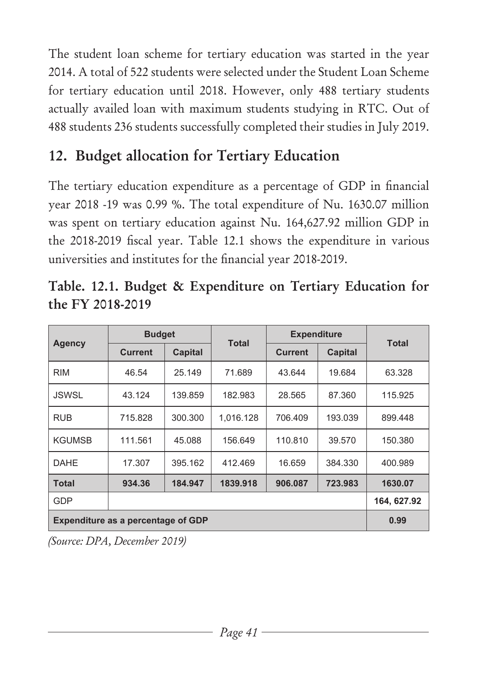The student loan scheme for tertiary education was started in the year 2014. A total of 522 students were selected under the Student Loan Scheme for tertiary education until 2018. However, only 488 tertiary students actually availed loan with maximum students studying in RTC. Out of 488 students 236 students successfully completed their studies in July 2019.

# **12. Budget allocation for Tertiary Education**

The tertiary education expenditure as a percentage of GDP in financial year 2018 -19 was 0.99 %. The total expenditure of Nu. 1630.07 million was spent on tertiary education against Nu. 164,627.92 million GDP in the 2018-2019 fiscal year. Table 12.1 shows the expenditure in various universities and institutes for the financial year 2018-2019.

|               | <b>Budget</b>                             |         | Total     | <b>Expenditure</b> |         | Total      |
|---------------|-------------------------------------------|---------|-----------|--------------------|---------|------------|
| <b>Agency</b> | Current                                   | Capital |           | <b>Current</b>     | Capital |            |
| <b>RIM</b>    | 46.54                                     | 25.149  | 71.689    | 43.644             | 19.684  | 63.328     |
| <b>JSWSL</b>  | 43.124                                    | 139.859 | 182.983   | 28.565             | 87.360  | 115.925    |
| <b>RUB</b>    | 715.828                                   | 300.300 | 1,016.128 | 706.409            | 193.039 | 899.448    |
| <b>KGUMSB</b> | 111.561                                   | 45.088  | 156.649   | 110.810            | 39.570  | 150.380    |
| <b>DAHE</b>   | 17.307                                    | 395.162 | 412.469   | 16.659             | 384.330 | 400.989    |
| <b>Total</b>  | 934.36                                    | 184.947 | 1839.918  | 906.087            | 723.983 | 1630.07    |
| GDP           |                                           |         |           |                    |         | 164.627.92 |
|               | <b>Expenditure as a percentage of GDP</b> |         |           |                    |         | 0.99       |

**Table. 12.1. Budget & Expenditure on Tertiary Education for the FY 2018-2019**

*(Source: DPA, December 2019)*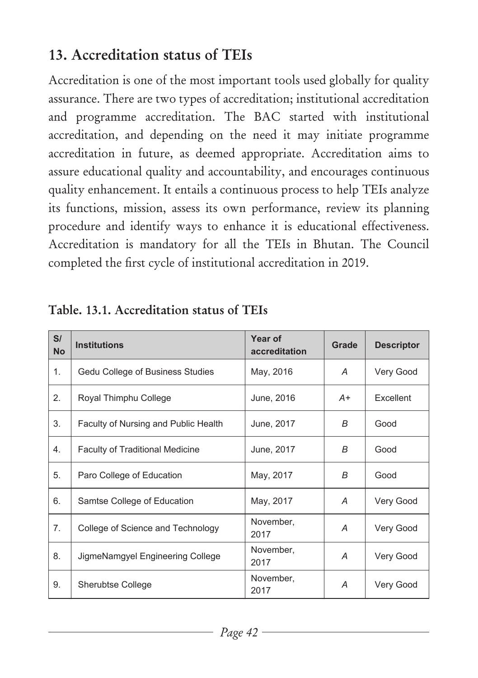# **13. Accreditation status of TEIs**

Accreditation is one of the most important tools used globally for quality assurance. There are two types of accreditation; institutional accreditation and programme accreditation. The BAC started with institutional accreditation, and depending on the need it may initiate programme accreditation in future, as deemed appropriate. Accreditation aims to assure educational quality and accountability, and encourages continuous quality enhancement. It entails a continuous process to help TEIs analyze its functions, mission, assess its own performance, review its planning procedure and identify ways to enhance it is educational effectiveness. Accreditation is mandatory for all the TEIs in Bhutan. The Council completed the first cycle of institutional accreditation in 2019.

| S/<br><b>No</b> | <b>Institutions</b>                    | Year of<br>accreditation | Grade | <b>Descriptor</b> |
|-----------------|----------------------------------------|--------------------------|-------|-------------------|
| 1.              | Gedu College of Business Studies       | May, 2016                | Α     | Very Good         |
| 2.              | Royal Thimphu College                  | June, 2016               | A+    | Excellent         |
| 3.              | Faculty of Nursing and Public Health   | June, 2017               | B     | Good              |
| 4.              | <b>Faculty of Traditional Medicine</b> | June, 2017               | B     | Good              |
| 5.              | Paro College of Education              | May, 2017                | B     | Good              |
| 6.              | Samtse College of Education            | May, 2017                | А     | Very Good         |
| 7.              | College of Science and Technology      | November,<br>2017        | А     | Very Good         |
| 8.              | JigmeNamgyel Engineering College       | November,<br>2017        | А     | Very Good         |
| 9.              | <b>Sherubtse College</b>               | November,<br>2017        | A     | Very Good         |

#### **Table. 13.1. Accreditation status of TEIs**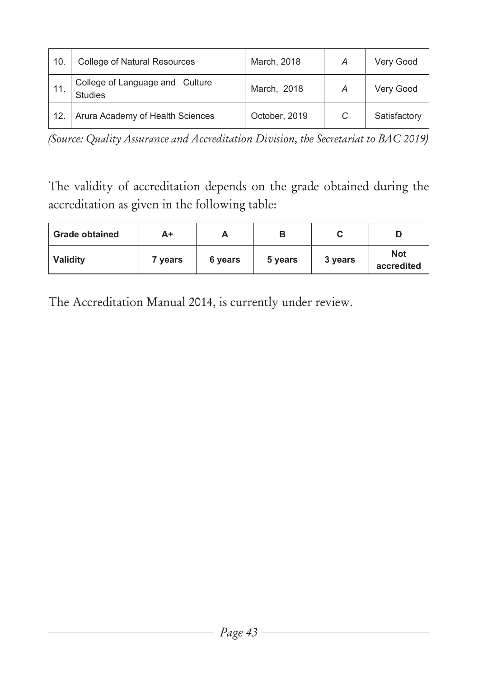| 10. | College of Natural Resources                      | March, 2018   | Α | Very Good    |
|-----|---------------------------------------------------|---------------|---|--------------|
| 11. | College of Language and Culture<br><b>Studies</b> | March, 2018   | А | Very Good    |
| 12. | Arura Academy of Health Sciences                  | October, 2019 | C | Satisfactory |

*(Source: Quality Assurance and Accreditation Division, the Secretariat to BAC 2019)*

The validity of accreditation depends on the grade obtained during the accreditation as given in the following table:

| <b>Grade obtained</b> | A+      |         |         |         |                          |
|-----------------------|---------|---------|---------|---------|--------------------------|
| Validity              | 7 vears | 6 years | 5 years | 3 years | <b>Not</b><br>accredited |

The Accreditation Manual 2014, is currently under review.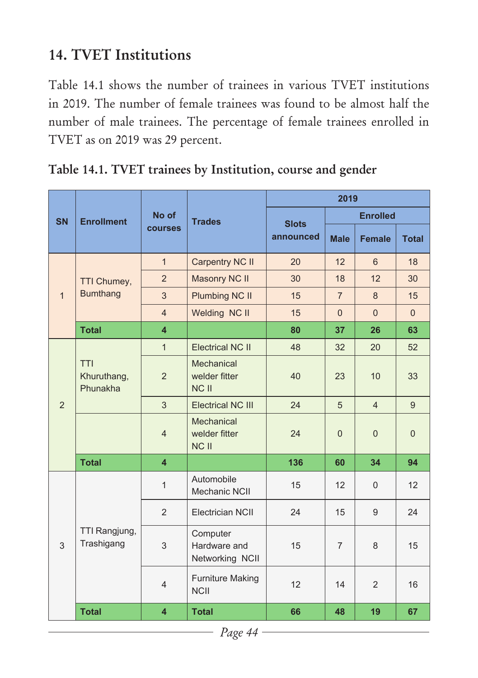# **14. TVET Institutions**

Table 14.1 shows the number of trainees in various TVET institutions in 2019. The number of female trainees was found to be almost half the number of male trainees. The percentage of female trainees enrolled in TVET as on 2019 was 29 percent.

|              |                                       |                         |                                             |              | 2019           |                 |                |
|--------------|---------------------------------------|-------------------------|---------------------------------------------|--------------|----------------|-----------------|----------------|
| <b>SN</b>    | <b>Enrollment</b>                     | No of                   | <b>Trades</b>                               | <b>Slots</b> |                | <b>Enrolled</b> |                |
|              |                                       | <b>courses</b>          |                                             | announced    | <b>Male</b>    | <b>Female</b>   | <b>Total</b>   |
|              |                                       | $\mathbf{1}$            | Carpentry NC II                             | 20           | 12             | 6               | 18             |
|              | <b>TTI Chumey,</b>                    | 2                       | Masonry NC II                               | 30           | 18             | 12              | 30             |
| $\mathbf{1}$ | <b>Bumthang</b>                       | 3                       | <b>Plumbing NC II</b>                       | 15           | $\overline{7}$ | 8               | 15             |
|              |                                       | $\overline{4}$          | Welding NC II                               | 15           | $\Omega$       | $\Omega$        | $\Omega$       |
|              | <b>Total</b>                          | $\overline{\mathbf{4}}$ |                                             | 80           | 37             | 26              | 63             |
|              |                                       | $\mathbf{1}$            | <b>Electrical NC II</b>                     | 48           | 32             | 20              | 52             |
|              | <b>TTI</b><br>Khuruthang,<br>Phunakha | $\overline{2}$          | Mechanical<br>welder fitter<br><b>NCII</b>  | 40           | 23             | 10              | 33             |
| 2            |                                       | 3                       | <b>Electrical NC III</b>                    | 24           | 5              | $\overline{4}$  | 9              |
|              |                                       | $\overline{4}$          | Mechanical<br>welder fitter<br><b>NCII</b>  | 24           | $\overline{0}$ | $\overline{0}$  | $\overline{0}$ |
|              | <b>Total</b>                          | $\overline{\mathbf{4}}$ |                                             | 136          | 60             | 34              | 94             |
|              |                                       | $\mathbf{1}$            | Automobile<br>Mechanic NCII                 | 15           | 12             | $\overline{0}$  | 12             |
|              |                                       | $\overline{2}$          | Electrician NCII                            | 24           | 15             | 9               | 24             |
| 3            | TTI Rangjung,<br>Trashigang           | 3                       | Computer<br>Hardware and<br>Networking NCII | 15           | $\overline{7}$ | 8               | 15             |
|              |                                       | $\overline{4}$          | Furniture Making<br><b>NCII</b>             | 12           | 14             | $\overline{2}$  | 16             |
|              | <b>Total</b>                          | $\overline{\mathbf{4}}$ | <b>Total</b>                                | 66           | 48             | 19              | 67             |

**Table 14.1. TVET trainees by Institution, course and gender**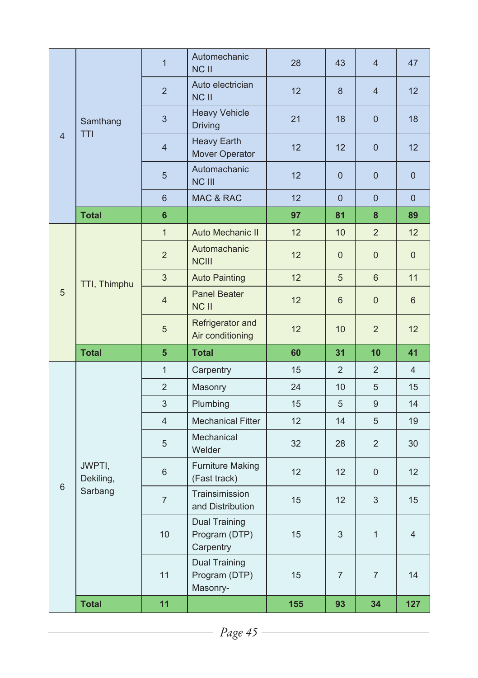|                |                     | $\mathbf{1}$   | Automechanic<br>NC II                       | 28 | 43             | $\overline{4}$ | 47             |
|----------------|---------------------|----------------|---------------------------------------------|----|----------------|----------------|----------------|
|                |                     | $\overline{2}$ | Auto electrician<br><b>NCII</b>             | 12 | 8              | $\overline{4}$ | 12             |
|                | Samthang            | 3              | <b>Heavy Vehicle</b><br><b>Driving</b>      | 21 | 18             | $\overline{0}$ | 18             |
| $\overline{4}$ | <b>TTI</b>          | $\overline{4}$ | <b>Heavy Earth</b><br>Mover Operator        | 12 | 12             | $\mathbf{0}$   | 12             |
|                |                     | 5              | Automachanic<br><b>NC III</b>               | 12 | $\overline{0}$ | $\overline{0}$ | $\overline{0}$ |
|                |                     | 6              | <b>MAC &amp; RAC</b>                        | 12 | $\overline{0}$ | $\overline{0}$ | $\overline{0}$ |
|                | <b>Total</b>        | 6              |                                             | 97 | 81             | 8              | 89             |
|                |                     | $\mathbf{1}$   | Auto Mechanic II                            | 12 | 10             | $\overline{2}$ | 12             |
|                |                     | $\overline{2}$ | Automachanic<br><b>NCIII</b>                | 12 | $\overline{0}$ | $\overline{0}$ | $\overline{0}$ |
|                | TTI, Thimphu        | 3              | <b>Auto Painting</b>                        | 12 | 5              | 6              | 11             |
| 5              |                     | $\overline{4}$ | Panel Beater<br>NC II                       | 12 | 6              | $\overline{0}$ | 6              |
|                |                     | 5              | Refrigerator and<br>Air conditioning        | 12 | 10             | $\overline{2}$ | 12             |
|                | <b>Total</b>        | 5              | <b>Total</b>                                | 60 | 31             | 10             | 41             |
|                |                     | $\mathbf{1}$   | Carpentry                                   | 15 | $\overline{2}$ | $\overline{2}$ | $\overline{4}$ |
|                |                     | $\overline{2}$ | Masonry                                     | 24 | 10             | 5              | 15             |
|                |                     | 3              | Plumbing                                    | 15 | 5              | 9              | 14             |
|                |                     | $\overline{4}$ | <b>Mechanical Fitter</b>                    | 12 | 14             | 5              | 19             |
|                |                     | 5              | Mechanical<br>Welder                        | 32 | 28             | $\overline{2}$ | 30             |
|                | JWPTI,<br>Dekiling, | 6              | <b>Furniture Making</b><br>(Fast track)     | 12 | 12             | $\overline{0}$ | 12             |
| 6              | Sarbang             | $\overline{7}$ | Trainsimission<br>and Distribution          | 15 | 12             | 3              | 15             |
|                |                     | 10             | Dual Training<br>Program (DTP)<br>Carpentry | 15 | 3              | $\mathbf{1}$   | $\overline{4}$ |
|                |                     | 11             | <b>Dual Training</b><br>Program (DTP)       | 15 | $\overline{7}$ | $\overline{7}$ | 14             |
|                |                     |                | Masonry-                                    |    |                |                |                |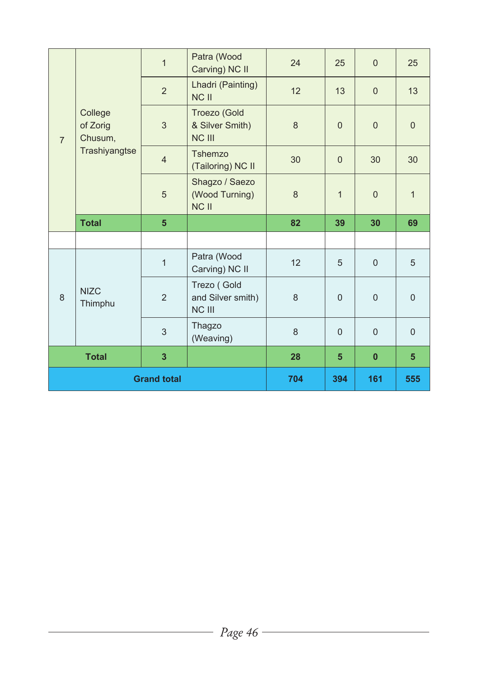| $\overline{7}$     | College<br>of Zorig<br>Chusum,<br>Trashiyangtse | $\mathbf{1}$    | Patra (Wood<br>Carving) NC II                    | 24  | 25             | $\overline{0}$ | 25              |
|--------------------|-------------------------------------------------|-----------------|--------------------------------------------------|-----|----------------|----------------|-----------------|
|                    |                                                 | $\overline{2}$  | Lhadri (Painting)<br>NC II                       | 12  | 13             | $\overline{0}$ | 13              |
|                    |                                                 | 3               | Troezo (Gold<br>& Silver Smith)<br><b>NC III</b> | 8   | $\Omega$       | $\overline{0}$ | $\overline{0}$  |
|                    |                                                 | $\overline{4}$  | Tshemzo<br>(Tailoring) NC II                     | 30  | $\Omega$       | 30             | 30              |
|                    |                                                 | 5               | Shagzo / Saezo<br>(Wood Turning)<br><b>NCII</b>  | 8   | $\mathbf{1}$   | $\overline{0}$ | $\mathbf{1}$    |
|                    | <b>Total</b>                                    | $5\phantom{.0}$ |                                                  | 82  | 39             | 30             | 69              |
|                    |                                                 |                 |                                                  |     |                |                |                 |
| 8                  | <b>NIZC</b><br>Thimphu                          | $\mathbf{1}$    | Patra (Wood<br>Carving) NC II                    | 12  | 5              | $\overline{0}$ | 5               |
|                    |                                                 | 2               | Trezo (Gold<br>and Silver smith)<br>NC III       | 8   | $\Omega$       | $\overline{0}$ | $\overline{0}$  |
|                    |                                                 | 3               | Thagzo<br>(Weaving)                              | 8   | $\Omega$       | $\overline{0}$ | $\overline{0}$  |
|                    | $\overline{\mathbf{3}}$<br><b>Total</b>         |                 |                                                  | 28  | $5\phantom{1}$ | $\bf{0}$       | $5\overline{)}$ |
| <b>Grand total</b> |                                                 |                 | 704                                              | 394 | 161            | 555            |                 |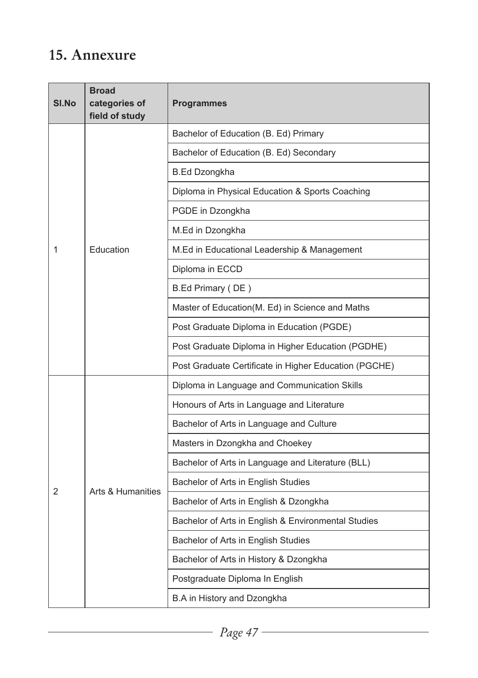## **15. Annexure**

| SI.No | <b>Broad</b><br>categories of<br>field of study | <b>Programmes</b>                                     |  |  |
|-------|-------------------------------------------------|-------------------------------------------------------|--|--|
|       | Education                                       | Bachelor of Education (B. Ed) Primary                 |  |  |
|       |                                                 | Bachelor of Education (B. Ed) Secondary               |  |  |
|       |                                                 | <b>B.Ed Dzongkha</b>                                  |  |  |
|       |                                                 | Diploma in Physical Education & Sports Coaching       |  |  |
|       |                                                 | PGDE in Dzongkha                                      |  |  |
|       |                                                 | M.Ed in Dzongkha                                      |  |  |
| 1     |                                                 | M.Ed in Educational Leadership & Management           |  |  |
|       |                                                 | Diploma in ECCD                                       |  |  |
|       |                                                 | B.Ed Primary (DE)                                     |  |  |
|       |                                                 | Master of Education(M. Ed) in Science and Maths       |  |  |
|       |                                                 | Post Graduate Diploma in Education (PGDE)             |  |  |
|       |                                                 | Post Graduate Diploma in Higher Education (PGDHE)     |  |  |
|       |                                                 | Post Graduate Certificate in Higher Education (PGCHE) |  |  |
|       | <b>Arts &amp; Humanities</b>                    | Diploma in Language and Communication Skills          |  |  |
|       |                                                 | Honours of Arts in Language and Literature            |  |  |
|       |                                                 | Bachelor of Arts in Language and Culture              |  |  |
|       |                                                 | Masters in Dzongkha and Choekey                       |  |  |
|       |                                                 | Bachelor of Arts in Language and Literature (BLL)     |  |  |
| 2     |                                                 | Bachelor of Arts in English Studies                   |  |  |
|       |                                                 | Bachelor of Arts in English & Dzongkha                |  |  |
|       |                                                 | Bachelor of Arts in English & Environmental Studies   |  |  |
|       |                                                 | Bachelor of Arts in English Studies                   |  |  |
|       |                                                 | Bachelor of Arts in History & Dzongkha                |  |  |
|       |                                                 | Postgraduate Diploma In English                       |  |  |
|       |                                                 | B.A in History and Dzongkha                           |  |  |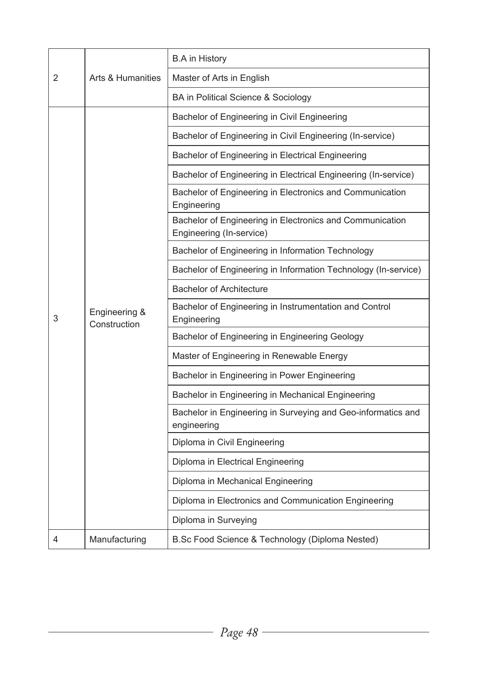|   |                               | <b>B.A</b> in History                                                                |
|---|-------------------------------|--------------------------------------------------------------------------------------|
| 2 | Arts & Humanities             | Master of Arts in English                                                            |
|   |                               | BA in Political Science & Sociology                                                  |
|   |                               | Bachelor of Engineering in Civil Engineering                                         |
|   |                               | Bachelor of Engineering in Civil Engineering (In-service)                            |
|   |                               | Bachelor of Engineering in Electrical Engineering                                    |
|   |                               | Bachelor of Engineering in Electrical Engineering (In-service)                       |
|   |                               | Bachelor of Engineering in Electronics and Communication<br>Engineering              |
|   |                               | Bachelor of Engineering in Electronics and Communication<br>Engineering (In-service) |
|   |                               | Bachelor of Engineering in Information Technology                                    |
|   |                               | Bachelor of Engineering in Information Technology (In-service)                       |
|   | Engineering &<br>Construction | <b>Bachelor of Architecture</b>                                                      |
| 3 |                               | Bachelor of Engineering in Instrumentation and Control<br>Engineering                |
|   |                               | Bachelor of Engineering in Engineering Geology                                       |
|   |                               | Master of Engineering in Renewable Energy                                            |
|   |                               | Bachelor in Engineering in Power Engineering                                         |
|   |                               | Bachelor in Engineering in Mechanical Engineering                                    |
|   |                               | Bachelor in Engineering in Surveying and Geo-informatics and<br>engineering          |
|   |                               | Diploma in Civil Engineering                                                         |
|   |                               | Diploma in Electrical Engineering                                                    |
|   |                               | Diploma in Mechanical Engineering                                                    |
|   |                               | Diploma in Electronics and Communication Engineering                                 |
|   |                               | Diploma in Surveying                                                                 |
| 4 | Manufacturing                 | B.Sc Food Science & Technology (Diploma Nested)                                      |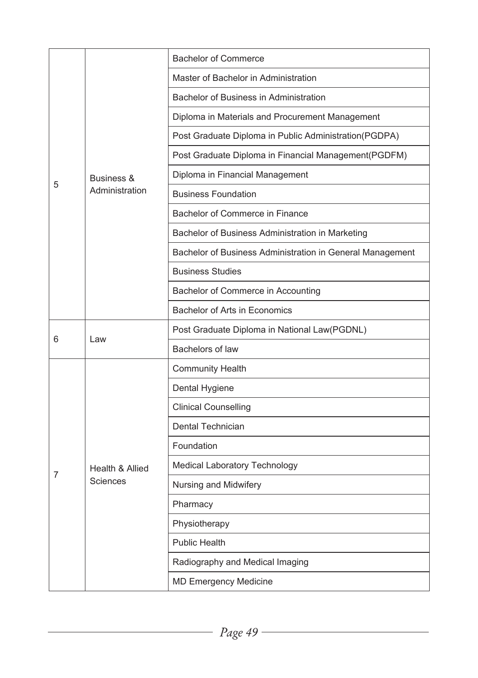|   |                              | <b>Bachelor of Commerce</b>                               |
|---|------------------------------|-----------------------------------------------------------|
|   | Business &<br>Administration | Master of Bachelor in Administration                      |
|   |                              | Bachelor of Business in Administration                    |
|   |                              | Diploma in Materials and Procurement Management           |
|   |                              | Post Graduate Diploma in Public Administration(PGDPA)     |
|   |                              | Post Graduate Diploma in Financial Management(PGDFM)      |
|   |                              | Diploma in Financial Management                           |
| 5 |                              | <b>Business Foundation</b>                                |
|   |                              | Bachelor of Commerce in Finance                           |
|   |                              | Bachelor of Business Administration in Marketing          |
|   |                              | Bachelor of Business Administration in General Management |
|   |                              | <b>Business Studies</b>                                   |
|   |                              | Bachelor of Commerce in Accounting                        |
|   |                              | Bachelor of Arts in Economics                             |
|   | Law                          | Post Graduate Diploma in National Law(PGDNL)              |
| 6 |                              | Bachelors of law                                          |
|   |                              | <b>Community Health</b>                                   |
|   |                              | Dental Hygiene                                            |
|   |                              | <b>Clinical Counselling</b>                               |
|   |                              | Dental Technician                                         |
|   |                              | Foundation                                                |
| 7 | Health & Allied              | Medical Laboratory Technology                             |
|   | Sciences                     | Nursing and Midwifery                                     |
|   |                              | Pharmacy                                                  |
|   |                              | Physiotherapy                                             |
|   |                              | <b>Public Health</b>                                      |
|   |                              | Radiography and Medical Imaging                           |
|   |                              | <b>MD Emergency Medicine</b>                              |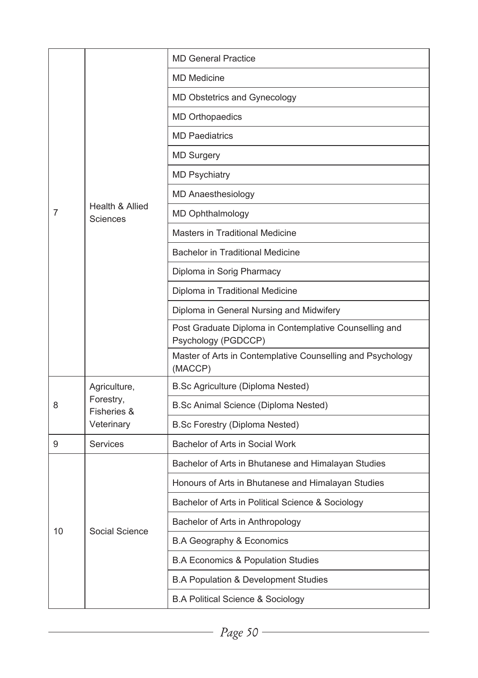|    | Health & Allied<br><b>Sciences</b>                     | <b>MD General Practice</b>                                                    |
|----|--------------------------------------------------------|-------------------------------------------------------------------------------|
|    |                                                        | <b>MD Medicine</b>                                                            |
|    |                                                        | MD Obstetrics and Gynecology                                                  |
|    |                                                        | <b>MD Orthopaedics</b>                                                        |
|    |                                                        | <b>MD Paediatrics</b>                                                         |
|    |                                                        | <b>MD Surgery</b>                                                             |
|    |                                                        | <b>MD Psychiatry</b>                                                          |
|    |                                                        | <b>MD Anaesthesiology</b>                                                     |
| 7  |                                                        | <b>MD Ophthalmology</b>                                                       |
|    |                                                        | Masters in Traditional Medicine                                               |
|    |                                                        | <b>Bachelor in Traditional Medicine</b>                                       |
|    |                                                        | Diploma in Sorig Pharmacy                                                     |
|    |                                                        | Diploma in Traditional Medicine                                               |
|    |                                                        | Diploma in General Nursing and Midwifery                                      |
|    |                                                        | Post Graduate Diploma in Contemplative Counselling and<br>Psychology (PGDCCP) |
|    |                                                        | Master of Arts in Contemplative Counselling and Psychology<br>(MACCP)         |
|    | Agriculture,<br>Forestry,<br>Fisheries &<br>Veterinary | B.Sc Agriculture (Diploma Nested)                                             |
| 8  |                                                        | B.Sc Animal Science (Diploma Nested)                                          |
|    |                                                        | B.Sc Forestry (Diploma Nested)                                                |
| 9  | <b>Services</b>                                        | Bachelor of Arts in Social Work                                               |
|    | Social Science                                         | Bachelor of Arts in Bhutanese and Himalayan Studies                           |
|    |                                                        | Honours of Arts in Bhutanese and Himalayan Studies                            |
|    |                                                        | Bachelor of Arts in Political Science & Sociology                             |
| 10 |                                                        | Bachelor of Arts in Anthropology                                              |
|    |                                                        | B.A Geography & Economics                                                     |
|    |                                                        | <b>B.A Economics &amp; Population Studies</b>                                 |
|    |                                                        | <b>B.A Population &amp; Development Studies</b>                               |
|    |                                                        | <b>B.A Political Science &amp; Sociology</b>                                  |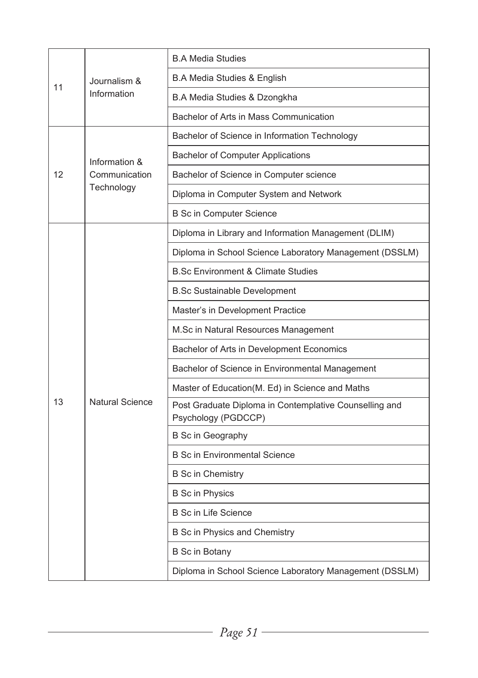|    |                                              | <b>B.A Media Studies</b>                                                      |
|----|----------------------------------------------|-------------------------------------------------------------------------------|
| 11 | Journalism &<br>Information                  | <b>B.A Media Studies &amp; English</b>                                        |
|    |                                              | B.A Media Studies & Dzongkha                                                  |
|    |                                              | Bachelor of Arts in Mass Communication                                        |
| 12 | Information &<br>Communication<br>Technology | Bachelor of Science in Information Technology                                 |
|    |                                              | <b>Bachelor of Computer Applications</b>                                      |
|    |                                              | Bachelor of Science in Computer science                                       |
|    |                                              | Diploma in Computer System and Network                                        |
|    |                                              | <b>B Sc in Computer Science</b>                                               |
|    |                                              | Diploma in Library and Information Management (DLIM)                          |
|    |                                              | Diploma in School Science Laboratory Management (DSSLM)                       |
|    |                                              | <b>B.Sc Environment &amp; Climate Studies</b>                                 |
|    |                                              | <b>B.Sc Sustainable Development</b>                                           |
|    |                                              | Master's in Development Practice                                              |
|    |                                              | M.Sc in Natural Resources Management                                          |
|    | <b>Natural Science</b>                       | Bachelor of Arts in Development Economics                                     |
|    |                                              | Bachelor of Science in Environmental Management                               |
|    |                                              | Master of Education(M. Ed) in Science and Maths                               |
| 13 |                                              | Post Graduate Diploma in Contemplative Counselling and<br>Psychology (PGDCCP) |
|    |                                              | <b>B</b> Sc in Geography                                                      |
|    |                                              | <b>B Sc in Environmental Science</b>                                          |
|    |                                              | <b>B</b> Sc in Chemistry                                                      |
|    |                                              | <b>B</b> Sc in Physics                                                        |
|    |                                              | <b>B</b> Sc in Life Science                                                   |
|    |                                              | B Sc in Physics and Chemistry                                                 |
|    |                                              | <b>B</b> Sc in Botany                                                         |
|    |                                              | Diploma in School Science Laboratory Management (DSSLM)                       |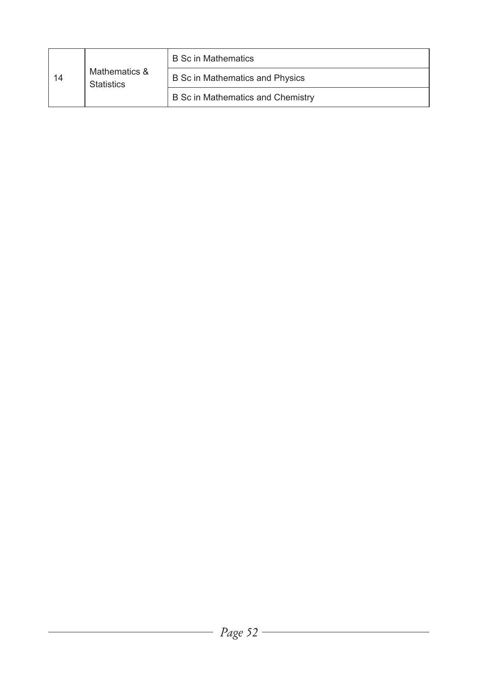|    | Mathematics &<br><b>Statistics</b> | <b>B</b> Sc in Mathematics        |
|----|------------------------------------|-----------------------------------|
| 14 |                                    | B Sc in Mathematics and Physics   |
|    |                                    | B Sc in Mathematics and Chemistry |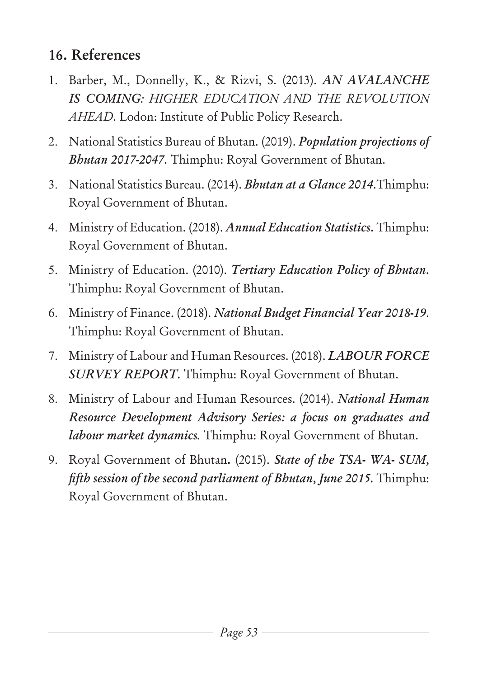# **16. References**

- 1. Barber, M., Donnelly, K., & Rizvi, S. (2013). *AN AVALANCHE IS COMING: HIGHER EDUCATION AND THE REVOLUTION AHEAD*. Lodon: Institute of Public Policy Research.
- 2. National Statistics Bureau of Bhutan. (2019). *Population projections of Bhutan 2017-2047.* Thimphu: Royal Government of Bhutan.
- 3. National Statistics Bureau. (2014). *Bhutan at a Glance 2014*.Thimphu: Royal Government of Bhutan.
- 4. Ministry of Education. (2018). *Annual Education Statistics.* Thimphu: Royal Government of Bhutan.
- 5. Ministry of Education. (2010). *Tertiary Education Policy of Bhutan.*  Thimphu: Royal Government of Bhutan.
- 6. Ministry of Finance. (2018). *National Budget Financial Year 2018-19*. Thimphu: Royal Government of Bhutan.
- 7. Ministry of Labour and Human Resources. (2018). *LABOUR FORCE SURVEY REPORT.* Thimphu: Royal Government of Bhutan.
- 8. Ministry of Labour and Human Resources. (2014). *National Human Resource Development Advisory Series: a focus on graduates and labour market dynamics.* Thimphu: Royal Government of Bhutan.
- 9. Royal Government of Bhutan**.** (2015). *State of the TSA- WA- SUM, fifth session of the second parliament of Bhutan, June 2015.* Thimphu: Royal Government of Bhutan.